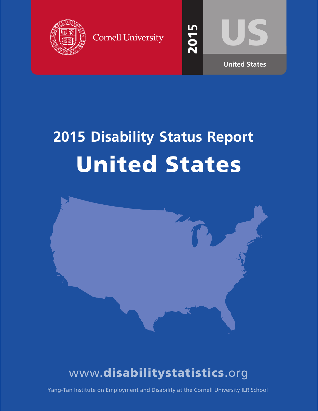

**Cornell University** 



201

LQ

# **2015 Disability Status Report** United States



## www.disabilitystatistics.org

Yang-Tan Institute on Employment and Disability at the Cornell University ILR School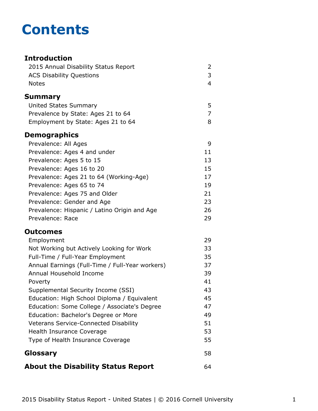## **Contents**

#### **Introduction** [2015 Annual Disability Status Report](#page-2-0) 2 [ACS Disability Questions](#page-3-0) 3 [Notes](#page-4-0) 4 **[Summary](#page-5-0)** [United States Summary](#page-5-0) 5 [Prevalence by State: Ages 21 to 64](#page-7-0) 7 [Employment by State: Ages 21 to 64](#page-8-0) 8 **Demographics** [Prevalence: All Ages](#page-9-0) 9 [Prevalence: Ages 4 and under](#page-11-0) 11 [Prevalence: Ages 5 to 15](#page-13-0) 13 [Prevalence: Ages 16 to 20](#page-15-0) 15 [Prevalence: Ages 21 to 64 \(Working-Age\)](#page-17-0) 17 [Prevalence: Ages 65 to 74](#page-19-0) 19 [Prevalence: Ages 75 and Older](#page-21-0) 21 [Prevalence: Gender and Age](#page-23-0) 23 [Prevalence: Hispanic / Latino Origin and Age](#page-26-0) 26 [Prevalence: Race](#page-29-0) 29 **Outcomes** [Employment](#page-31-0) 29 [Not Working but Actively Looking for Work](#page-33-0) 33 [Full-Time / Full-Year Employment](#page-35-0) 35 [Annual Earnings \(Full-Time / Full-Year workers\)](#page-37-0) 37 [Annual Household Income](#page-39-0) 39 [Poverty](#page-41-0) 41 [Supplemental Security Income \(SSI\)](#page-43-0) 43 [Education: High School Diploma / Equivalent](#page-45-0) 45 [Education: Some College / Associate's Degree](#page-47-0) 47 [Education: Bachelor's Degree or More](#page-49-0) **1988** [Veterans Service-Connected Disability](#page-51-0) 51 [Health Insurance Coverage](#page-53-0) 63 and 53 [Type of Health Insurance Coverage](#page-55-0) 55 **[Glossary](#page-58-0)** 58 **[About the Disability Status Report](#page-64-0)** 64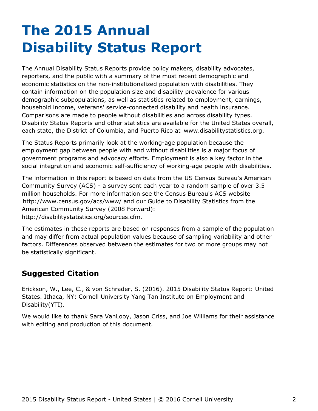## <span id="page-2-0"></span>**The 2015 Annual Disability Status Report**

The Annual Disability Status Reports provide policy makers, disability advocates, reporters, and the public with a summary of the most recent demographic and economic statistics on the non-institutionalized population with disabilities. They contain information on the population size and disability prevalence for various demographic subpopulations, as well as statistics related to employment, earnings, household income, veterans' service-connected disability and health insurance. Comparisons are made to people without disabilities and across disability types. Disability Status Reports and other statistics are available for the United States overall, each state, the District of Columbia, and Puerto Rico at [www.disabilitystatistics.org](http://www.disabilitystatistics.org).

The Status Reports primarily look at the working-age population because the employment gap between people with and without disabilities is a major focus of government programs and advocacy efforts. Employment is also a key factor in the social integration and economic self-sufficiency of working-age people with disabilities.

The information in this report is based on data from the US Census Bureau's American Community Survey (ACS) - a survey sent each year to a random sample of over 3.5 million households. For more information see the Census Bureau's ACS website <http://www.census.gov/acs/www/> and our Guide to Disability Statistics from the American Community Survey (2008 Forward): <http://disabilitystatistics.org/sources.cfm>.

The estimates in these reports are based on responses from a sample of the population and may differ from actual population values because of sampling variability and other factors. Differences observed between the estimates for two or more groups may not be statistically significant.

### **Suggested Citation**

Erickson, W., Lee, C., & von Schrader, S. (2016). 2015 Disability Status Report: United States. Ithaca, NY: Cornell University Yang Tan Institute on Employment and Disability(YTI).

We would like to thank Sara VanLooy, Jason Criss, and Joe Williams for their assistance with editing and production of this document.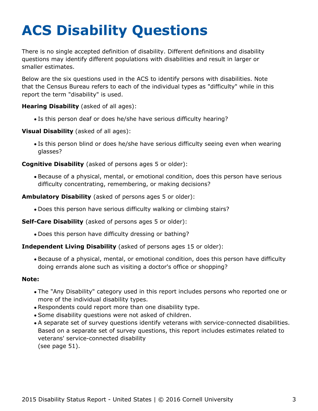# <span id="page-3-0"></span>**ACS Disability Questions**

There is no single accepted definition of disability. Different definitions and disability questions may identify different populations with disabilities and result in larger or smaller estimates.

Below are the six questions used in the ACS to identify persons with disabilities. Note that the Census Bureau refers to each of the individual types as "difficulty" while in this report the term "disability" is used.

**Hearing Disability** (asked of all ages):

Is this person deaf or does he/she have serious difficulty hearing?

**Visual Disability** (asked of all ages):

Is this person blind or does he/she have serious difficulty seeing even when wearing glasses?

**Cognitive Disability** (asked of persons ages 5 or older):

Because of a physical, mental, or emotional condition, does this person have serious difficulty concentrating, remembering, or making decisions?

**Ambulatory Disability** (asked of persons ages 5 or older):

Does this person have serious difficulty walking or climbing stairs?

**Self-Care Disability** (asked of persons ages 5 or older):

Does this person have difficulty dressing or bathing?

#### **Independent Living Disability** (asked of persons ages 15 or older):

Because of a physical, mental, or emotional condition, does this person have difficulty doing errands alone such as visiting a doctor's office or shopping?

#### **Note:**

- The "Any Disability" category used in this report includes persons who reported one or more of the individual disability types.
- Respondents could report more than one disability type.
- Some disability questions were not asked of children.
- A separate set of survey questions identify veterans with service-connected disabilities. Based on a separate set of survey questions, this report includes estimates related to veterans' service-connected disability (see page 51).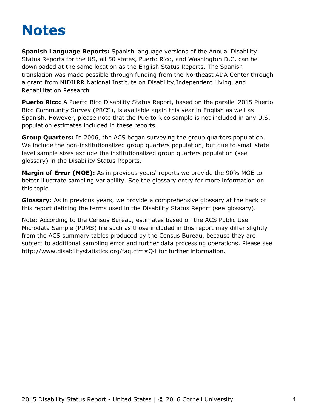## <span id="page-4-0"></span>**Notes**

**Spanish Language Reports:** Spanish language versions of the Annual Disability Status Reports for the US, all 50 states, Puerto Rico, and Washington D.C. can be downloaded at the same location as the English Status Reports. The Spanish translation was made possible through funding from the Northeast ADA Center through a grant from NIDILRR National Institute on Disability,Independent Living, and Rehabilitation Research

**Puerto Rico:** A Puerto Rico Disability Status Report, based on the parallel 2015 Puerto Rico Community Survey (PRCS), is available again this year in English as well as Spanish. However, please note that the Puerto Rico sample is not included in any U.S. population estimates included in these reports.

**Group Quarters:** In 2006, the ACS began surveying the group quarters population. We include the non-institutionalized group quarters population, but due to small state level sample sizes exclude the institutionalized group quarters population (see [glossary](#page-58-0)) in the Disability Status Reports.

**Margin of Error (MOE):** As in previous years' reports we provide the 90% MOE to better illustrate sampling variability. See the glossary entry for more information on this topic.

**Glossary:** As in previous years, we provide a comprehensive glossary at the back of this report defining the terms used in the Disability Status Report (see [glossary](#page-58-0)).

Note: According to the Census Bureau, estimates based on the ACS Public Use Microdata Sample (PUMS) file such as those included in this report may differ slightly from the ACS summary tables produced by the Census Bureau, because they are subject to additional sampling error and further data processing operations. Please see <http://www.disabilitystatistics.org/faq.cfm#Q4> for further information.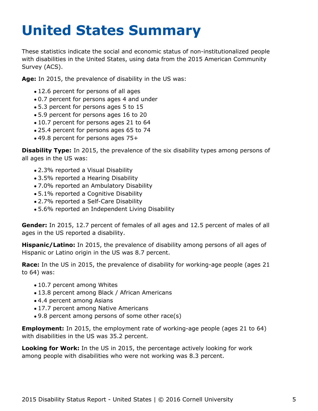# <span id="page-5-0"></span>**United States Summary**

These statistics indicate the social and economic status of non-institutionalized people with disabilities in the United States, using data from the 2015 American Community Survey (ACS).

**Age:** In 2015, the prevalence of disability in the US was:

- 12.6 percent for persons of all ages
- 0.7 percent for persons ages 4 and under
- 5.3 percent for persons ages 5 to 15
- 5.9 percent for persons ages 16 to 20
- 10.7 percent for persons ages 21 to 64
- 25.4 percent for persons ages 65 to 74
- 49.8 percent for persons ages 75+

**Disability Type:** In 2015, the prevalence of the six disability types among persons of all ages in the US was:

- 2.3% reported a Visual Disability
- 3.5% reported a Hearing Disability
- 7.0% reported an Ambulatory Disability
- 5.1% reported a Cognitive Disability
- 2.7% reported a Self-Care Disability
- 5.6% reported an Independent Living Disability

**Gender:** In 2015, 12.7 percent of females of all ages and 12.5 percent of males of all ages in the US reported a disability.

**Hispanic/Latino:** In 2015, the prevalence of disability among persons of all ages of Hispanic or Latino origin in the US was 8.7 percent.

**Race:** In the US in 2015, the prevalence of disability for working-age people (ages 21 to 64) was:

- 10.7 percent among Whites
- 13.8 percent among Black / African Americans
- 4.4 percent among Asians
- 17.7 percent among Native Americans
- 9.8 percent among persons of some other race(s)

**Employment:** In 2015, the employment rate of working-age people (ages 21 to 64) with disabilities in the US was 35.2 percent.

**Looking for Work:** In the US in 2015, the percentage actively looking for work among people with disabilities who were not working was 8.3 percent.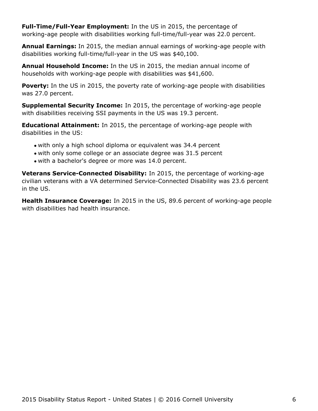**Full-Time/Full-Year Employment:** In the US in 2015, the percentage of working-age people with disabilities working full-time/full-year was 22.0 percent.

**Annual Earnings:** In 2015, the median annual earnings of working-age people with disabilities working full-time/full-year in the US was \$40,100.

**Annual Household Income:** In the US in 2015, the median annual income of households with working-age people with disabilities was \$41,600.

**Poverty:** In the US in 2015, the poverty rate of working-age people with disabilities was 27.0 percent.

**Supplemental Security Income:** In 2015, the percentage of working-age people with disabilities receiving SSI payments in the US was 19.3 percent.

**Educational Attainment:** In 2015, the percentage of working-age people with disabilities in the US:

- with only a high school diploma or equivalent was 34.4 percent
- with only some college or an associate degree was 31.5 percent
- with a bachelor's degree or more was 14.0 percent.

**Veterans Service-Connected Disability:** In 2015, the percentage of working-age civilian veterans with a VA determined Service-Connected Disability was 23.6 percent in the US.

**Health Insurance Coverage:** In 2015 in the US, 89.6 percent of working-age people with disabilities had health insurance.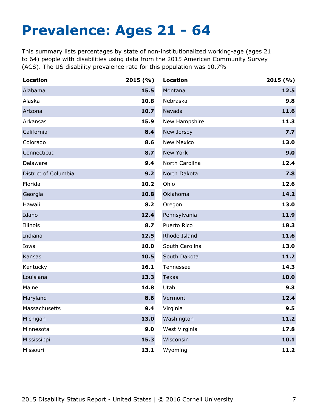## <span id="page-7-0"></span>**Prevalence: Ages 21 - 64**

This summary lists percentages by state of non-institutionalized working-age (ages 21 to 64) people with disabilities using data from the 2015 American Community Survey (ACS). The US disability prevalence rate for this population was 10.7%

| <b>Location</b>      | 2015(%) | <b>Location</b>   | 2015(%) |
|----------------------|---------|-------------------|---------|
| Alabama              | 15.5    | Montana           | 12.5    |
| Alaska               | 10.8    | Nebraska          | 9.8     |
| Arizona              | 10.7    | Nevada            | 11.6    |
| Arkansas             | 15.9    | New Hampshire     | 11.3    |
| California           | 8.4     | New Jersey        | 7.7     |
| Colorado             | 8.6     | <b>New Mexico</b> | 13.0    |
| Connecticut          | 8.7     | New York          | 9.0     |
| Delaware             | 9.4     | North Carolina    | 12.4    |
| District of Columbia | 9.2     | North Dakota      | 7.8     |
| Florida              | 10.2    | Ohio              | 12.6    |
| Georgia              | 10.8    | Oklahoma          | 14.2    |
| Hawaii               | 8.2     | Oregon            | 13.0    |
| Idaho                | 12.4    | Pennsylvania      | 11.9    |
| Illinois             | 8.7     | Puerto Rico       | 18.3    |
| Indiana              | 12.5    | Rhode Island      | 11.6    |
| Iowa                 | 10.0    | South Carolina    | 13.0    |
| Kansas               | 10.5    | South Dakota      | 11.2    |
| Kentucky             | 16.1    | Tennessee         | 14.3    |
| Louisiana            | 13.3    | <b>Texas</b>      | 10.0    |
| Maine                | 14.8    | Utah              | 9.3     |
| Maryland             | 8.6     | Vermont           | 12.4    |
| Massachusetts        | 9.4     | Virginia          | 9.5     |
| Michigan             | 13.0    | Washington        | 11.2    |
| Minnesota            | 9.0     | West Virginia     | 17.8    |
| Mississippi          | 15.3    | Wisconsin         | 10.1    |
| Missouri             | 13.1    | Wyoming           | 11.2    |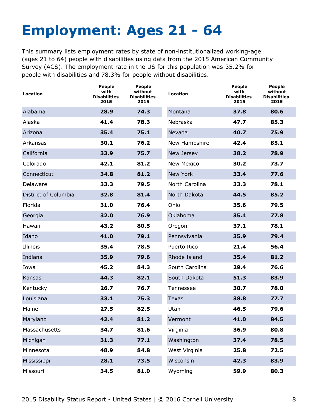# <span id="page-8-0"></span>**Employment: Ages 21 - 64**

This summary lists employment rates by state of non-institutionalized working-age (ages 21 to 64) people with disabilities using data from the 2015 American Community Survey (ACS). The employment rate in the US for this population was 35.2% for people with disabilities and 78.3% for people without disabilities.

| Location             | <b>People</b><br>with<br><b>Disabilities</b><br>2015 | <b>People</b><br>without<br><b>Disabilities</b><br>2015 | <b>Location</b>   | <b>People</b><br>with<br><b>Disabilities</b><br>2015 | <b>People</b><br>without<br><b>Disabilities</b><br>2015 |
|----------------------|------------------------------------------------------|---------------------------------------------------------|-------------------|------------------------------------------------------|---------------------------------------------------------|
| Alabama              | 28.9                                                 | 74.3                                                    | Montana           | 37.8                                                 | 80.6                                                    |
| Alaska               | 41.4                                                 | 78.3                                                    | Nebraska          | 47.7                                                 | 85.3                                                    |
| Arizona              | 35.4                                                 | 75.1                                                    | Nevada            | 40.7                                                 | 75.9                                                    |
| Arkansas             | 30.1                                                 | 76.2                                                    | New Hampshire     | 42.4                                                 | 85.1                                                    |
| California           | 33.9                                                 | 75.7                                                    | New Jersey        | 38.2                                                 | 78.9                                                    |
| Colorado             | 42.1                                                 | 81.2                                                    | <b>New Mexico</b> | 30.2                                                 | 73.7                                                    |
| Connecticut          | 34.8                                                 | 81.2                                                    | New York          | 33.4                                                 | 77.6                                                    |
| Delaware             | 33.3                                                 | 79.5                                                    | North Carolina    | 33.3                                                 | 78.1                                                    |
| District of Columbia | 32.8                                                 | 81.4                                                    | North Dakota      | 44.5                                                 | 85.2                                                    |
| Florida              | 31.0                                                 | 76.4                                                    | Ohio              | 35.6                                                 | 79.5                                                    |
| Georgia              | 32.0                                                 | 76.9                                                    | Oklahoma          | 35.4                                                 | 77.8                                                    |
| Hawaii               | 43.2                                                 | 80.5                                                    | Oregon            | 37.1                                                 | 78.1                                                    |
| Idaho                | 41.0                                                 | 79.1                                                    | Pennsylvania      | 35.9                                                 | 79.4                                                    |
| Illinois             | 35.4                                                 | 78.5                                                    | Puerto Rico       | 21.4                                                 | 56.4                                                    |
| Indiana              | 35.9                                                 | 79.6                                                    | Rhode Island      | 35.4                                                 | 81.2                                                    |
| Iowa                 | 45.2                                                 | 84.3                                                    | South Carolina    | 29.4                                                 | 76.6                                                    |
| Kansas               | 44.3                                                 | 82.1                                                    | South Dakota      | 51.3                                                 | 83.9                                                    |
| Kentucky             | 26.7                                                 | 76.7                                                    | Tennessee         | 30.7                                                 | 78.0                                                    |
| Louisiana            | 33.1                                                 | 75.3                                                    | <b>Texas</b>      | 38.8                                                 | 77.7                                                    |
| Maine                | 27.5                                                 | 82.5                                                    | Utah              | 46.5                                                 | 79.6                                                    |
| Maryland             | 42.4                                                 | 81.2                                                    | Vermont           | 41.0                                                 | 84.5                                                    |
| Massachusetts        | 34.7                                                 | 81.6                                                    | Virginia          | 36.9                                                 | 80.8                                                    |
| Michigan             | 31.3                                                 | 77.1                                                    | Washington        | 37.4                                                 | 78.5                                                    |
| Minnesota            | 48.9                                                 | 84.8                                                    | West Virginia     | 25.8                                                 | 72.5                                                    |
| Mississippi          | 28.1                                                 | 73.5                                                    | Wisconsin         | 42.3                                                 | 83.9                                                    |
| Missouri             | 34.5                                                 | 81.0                                                    | Wyoming           | 59.9                                                 | 80.3                                                    |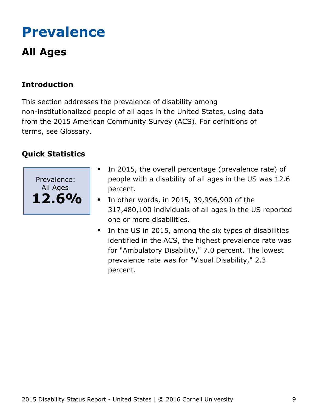## <span id="page-9-0"></span>**Prevalence**

## **All Ages**

### **Introduction**

This section addresses the prevalence of disability among non-institutionalized people of all ages in the United States, using data from the 2015 American Community Survey (ACS). For definitions of terms, see Glossary.



- In 2015, the overall percentage (prevalence rate) of people with a disability of all ages in the US was 12.6 percent.
- $\bullet$  In other words, in 2015, 39,996,900 of the 317,480,100 individuals of all ages in the US reported one or more disabilities.
- In the US in 2015, among the six types of disabilities identified in the ACS, the highest prevalence rate was for "Ambulatory Disability," 7.0 percent. The lowest prevalence rate was for "Visual Disability," 2.3 percent.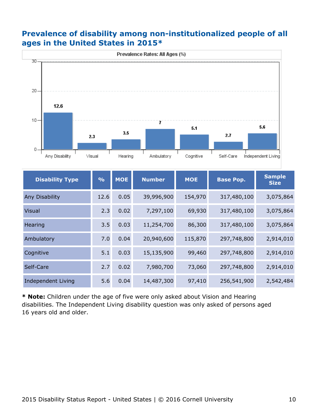#### **Prevalence of disability among non-institutionalized people of all ages in the United States in 2015\***



| <b>Disability Type</b> | $\frac{0}{0}$ | <b>MOE</b> | <b>Number</b> | <b>MOE</b> | <b>Base Pop.</b> | <b>Sample</b><br><b>Size</b> |
|------------------------|---------------|------------|---------------|------------|------------------|------------------------------|
| Any Disability         | 12.6          | 0.05       | 39,996,900    | 154,970    | 317,480,100      | 3,075,864                    |
| <b>Visual</b>          | 2.3           | 0.02       | 7,297,100     | 69,930     | 317,480,100      | 3,075,864                    |
| Hearing                | 3.5           | 0.03       | 11,254,700    | 86,300     | 317,480,100      | 3,075,864                    |
| Ambulatory             | 7.0           | 0.04       | 20,940,600    | 115,870    | 297,748,800      | 2,914,010                    |
| Cognitive              | 5.1           | 0.03       | 15,135,900    | 99,460     | 297,748,800      | 2,914,010                    |
| Self-Care              | 2.7           | 0.02       | 7,980,700     | 73,060     | 297,748,800      | 2,914,010                    |
| Independent Living     | 5.6           | 0.04       | 14,487,300    | 97,410     | 256,541,900      | 2,542,484                    |

**\* Note:** Children under the age of five were only asked about Vision and Hearing disabilities. The Independent Living disability question was only asked of persons aged 16 years old and older.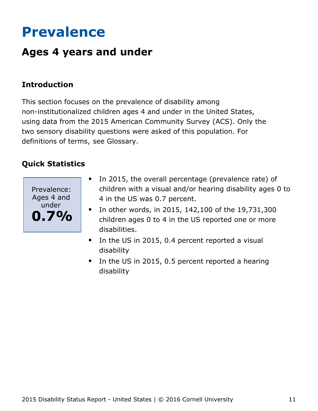## <span id="page-11-0"></span>**Prevalence**

## **Ages 4 years and under**

### **Introduction**

This section focuses on the prevalence of disability among non-institutionalized children ages 4 and under in the United States, using data from the 2015 American Community Survey (ACS). Only the two sensory disability questions were asked of this population. For definitions of terms, see Glossary.



- In 2015, the overall percentage (prevalence rate) of  $\bullet$ children with a visual and/or hearing disability ages 0 to 4 in the US was 0.7 percent.
- In other words, in 2015, 142,100 of the 19,731,300 children ages 0 to 4 in the US reported one or more disabilities.
- $\bullet$ In the US in 2015, 0.4 percent reported a visual disability
- In the US in 2015, 0.5 percent reported a hearing disability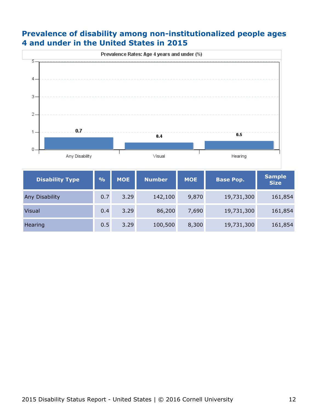#### **Prevalence of disability among non-institutionalized people ages 4 and under in the United States in 2015**



| <b>Disability Type</b> | $\frac{0}{0}$ | <b>MOE</b> | <b>Number</b> | <b>MOE</b> | <b>Base Pop.</b> | <b>Sample</b><br><b>Size</b> |
|------------------------|---------------|------------|---------------|------------|------------------|------------------------------|
| <b>Any Disability</b>  | 0.7           | 3.29       | 142,100       | 9,870      | 19,731,300       | 161,854                      |
| <b>Visual</b>          | 0.4           | 3.29       | 86,200        | 7,690      | 19,731,300       | 161,854                      |
| Hearing                | 0.5           | 3.29       | 100,500       | 8,300      | 19,731,300       | 161,854                      |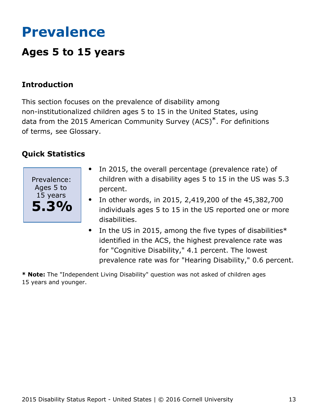## <span id="page-13-0"></span>**Prevalence**

## **Ages 5 to 15 years**

#### **Introduction**

This section focuses on the prevalence of disability among non-institutionalized children ages 5 to 15 in the United States, using data from the 2015 American Community Survey (ACS)\*. For definitions of terms, see Glossary.

#### **Quick Statistics**



- In 2015, the overall percentage (prevalence rate) of  $\bullet$ children with a disability ages 5 to 15 in the US was 5.3 percent.
- In other words, in 2015, 2,419,200 of the 45,382,700 individuals ages 5 to 15 in the US reported one or more disabilities.
- $\bullet$ In the US in 2015, among the five types of disabilities\* identified in the ACS, the highest prevalence rate was for "Cognitive Disability," 4.1 percent. The lowest prevalence rate was for "Hearing Disability," 0.6 percent.

**\* Note:** The "Independent Living Disability" question was not asked of children ages 15 years and younger.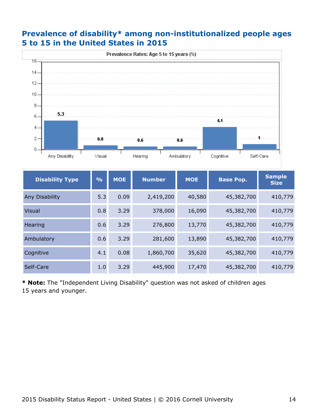#### **Prevalence of disability\* among non-institutionalized people ages 5 to 15 in the United States in 2015**



| <b>Disability Type</b> | $\frac{0}{0}$ | <b>MOE</b> | <b>Number</b> | <b>MOE</b> | <b>Base Pop.</b> | <b>Sample</b><br><b>Size</b> |
|------------------------|---------------|------------|---------------|------------|------------------|------------------------------|
| <b>Any Disability</b>  | 5.3           | 0.09       | 2,419,200     | 40,580     | 45,382,700       | 410,779                      |
| <b>Visual</b>          | 0.8           | 3.29       | 378,000       | 16,090     | 45,382,700       | 410,779                      |
| <b>Hearing</b>         | 0.6           | 3.29       | 276,800       | 13,770     | 45,382,700       | 410,779                      |
| Ambulatory             | 0.6           | 3.29       | 281,600       | 13,890     | 45,382,700       | 410,779                      |
| Cognitive              | 4.1           | 0.08       | 1,860,700     | 35,620     | 45,382,700       | 410,779                      |
| Self-Care              | 1.0           | 3.29       | 445,900       | 17,470     | 45,382,700       | 410,779                      |

**\* Note:** The "Independent Living Disability" question was not asked of children ages 15 years and younger.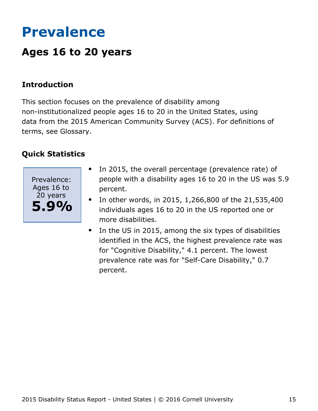## <span id="page-15-0"></span>**Prevalence**

## **Ages 16 to 20 years**

#### **Introduction**

This section focuses on the prevalence of disability among non-institutionalized people ages 16 to 20 in the United States, using data from the 2015 American Community Survey (ACS). For definitions of terms, see Glossary.



- In 2015, the overall percentage (prevalence rate) of  $\bullet$ people with a disability ages 16 to 20 in the US was 5.9 percent.
- In other words, in 2015, 1,266,800 of the 21,535,400  $\bullet$ individuals ages 16 to 20 in the US reported one or more disabilities.
- In the US in 2015, among the six types of disabilities  $\bullet$ identified in the ACS, the highest prevalence rate was for "Cognitive Disability," 4.1 percent. The lowest prevalence rate was for "Self-Care Disability," 0.7 percent.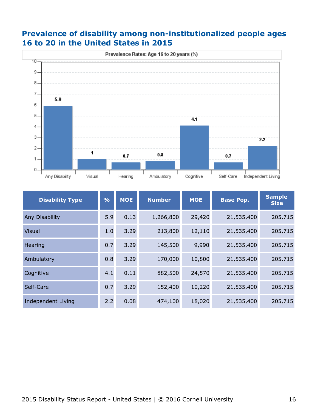#### **Prevalence of disability among non-institutionalized people ages 16 to 20 in the United States in 2015**



| <b>Disability Type</b>    | $\frac{O}{O}$ | <b>MOE</b> | <b>Number</b> | <b>MOE</b> | <b>Base Pop.</b> | <b>Sample</b><br><b>Size</b> |
|---------------------------|---------------|------------|---------------|------------|------------------|------------------------------|
| Any Disability            | 5.9           | 0.13       | 1,266,800     | 29,420     | 21,535,400       | 205,715                      |
| Visual                    | 1.0           | 3.29       | 213,800       | 12,110     | 21,535,400       | 205,715                      |
| Hearing                   | 0.7           | 3.29       | 145,500       | 9,990      | 21,535,400       | 205,715                      |
| Ambulatory                | 0.8           | 3.29       | 170,000       | 10,800     | 21,535,400       | 205,715                      |
| Cognitive                 | 4.1           | 0.11       | 882,500       | 24,570     | 21,535,400       | 205,715                      |
| Self-Care                 | 0.7           | 3.29       | 152,400       | 10,220     | 21,535,400       | 205,715                      |
| <b>Independent Living</b> | 2.2           | 0.08       | 474,100       | 18,020     | 21,535,400       | 205,715                      |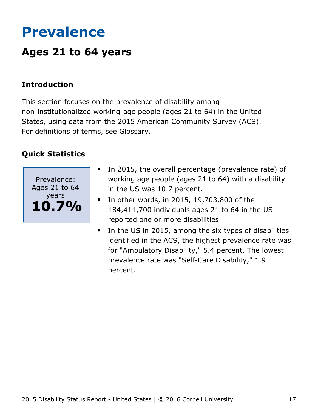## <span id="page-17-0"></span>**Prevalence**

## **Ages 21 to 64 years**

#### **Introduction**

This section focuses on the prevalence of disability among non-institutionalized working-age people (ages 21 to 64) in the United States, using data from the 2015 American Community Survey (ACS). For definitions of terms, see Glossary.



- In 2015, the overall percentage (prevalence rate) of working age people (ages 21 to 64) with a disability in the US was 10.7 percent.
- In other words, in 2015, 19,703,800 of the  $\bullet$ 184,411,700 individuals ages 21 to 64 in the US reported one or more disabilities.
- In the US in 2015, among the six types of disabilities identified in the ACS, the highest prevalence rate was for "Ambulatory Disability," 5.4 percent. The lowest prevalence rate was "Self-Care Disability," 1.9 percent.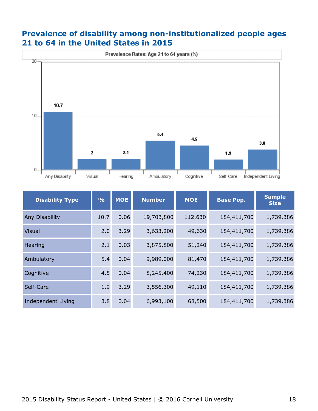#### **Prevalence of disability among non-institutionalized people ages 21 to 64 in the United States in 2015**



| <b>Disability Type</b> | $\frac{O}{O}$ | <b>MOE</b> | <b>Number</b> | <b>MOE</b> | <b>Base Pop.</b> | <b>Sample</b><br><b>Size</b> |
|------------------------|---------------|------------|---------------|------------|------------------|------------------------------|
| Any Disability         | 10.7          | 0.06       | 19,703,800    | 112,630    | 184,411,700      | 1,739,386                    |
| Visual                 | 2.0           | 3.29       | 3,633,200     | 49,630     | 184,411,700      | 1,739,386                    |
| Hearing                | 2.1           | 0.03       | 3,875,800     | 51,240     | 184,411,700      | 1,739,386                    |
| Ambulatory             | 5.4           | 0.04       | 9,989,000     | 81,470     | 184,411,700      | 1,739,386                    |
| Cognitive              | 4.5           | 0.04       | 8,245,400     | 74,230     | 184,411,700      | 1,739,386                    |
| Self-Care              | 1.9           | 3.29       | 3,556,300     | 49,110     | 184,411,700      | 1,739,386                    |
| Independent Living     | 3.8           | 0.04       | 6,993,100     | 68,500     | 184,411,700      | 1,739,386                    |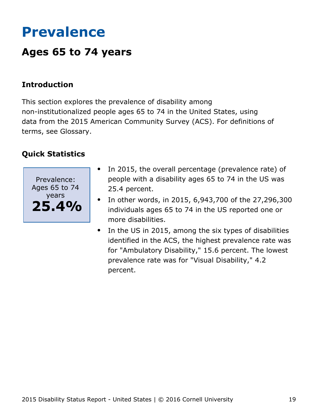## <span id="page-19-0"></span>**Prevalence**

## **Ages 65 to 74 years**

### **Introduction**

This section explores the prevalence of disability among non-institutionalized people ages 65 to 74 in the United States, using data from the 2015 American Community Survey (ACS). For definitions of terms, see Glossary.



- In 2015, the overall percentage (prevalence rate) of people with a disability ages 65 to 74 in the US was 25.4 percent.
- In other words, in 2015, 6,943,700 of the 27,296,300  $\bullet$ individuals ages 65 to 74 in the US reported one or more disabilities.
- $\bullet$ In the US in 2015, among the six types of disabilities identified in the ACS, the highest prevalence rate was for "Ambulatory Disability," 15.6 percent. The lowest prevalence rate was for "Visual Disability," 4.2 percent.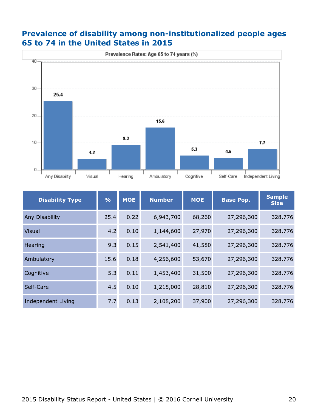#### **Prevalence of disability among non-institutionalized people ages 65 to 74 in the United States in 2015**



| <b>Disability Type</b>    | $\frac{0}{0}$ | <b>MOE</b> | <b>Number</b> | <b>MOE</b> | <b>Base Pop.</b> | <b>Sample</b><br><b>Size</b> |
|---------------------------|---------------|------------|---------------|------------|------------------|------------------------------|
| Any Disability            | 25.4          | 0.22       | 6,943,700     | 68,260     | 27,296,300       | 328,776                      |
| Visual                    | 4.2           | 0.10       | 1,144,600     | 27,970     | 27,296,300       | 328,776                      |
| Hearing                   | 9.3           | 0.15       | 2,541,400     | 41,580     | 27,296,300       | 328,776                      |
| Ambulatory                | 15.6          | 0.18       | 4,256,600     | 53,670     | 27,296,300       | 328,776                      |
| Cognitive                 | 5.3           | 0.11       | 1,453,400     | 31,500     | 27,296,300       | 328,776                      |
| Self-Care                 | 4.5           | 0.10       | 1,215,000     | 28,810     | 27,296,300       | 328,776                      |
| <b>Independent Living</b> | 7.7           | 0.13       | 2,108,200     | 37,900     | 27,296,300       | 328,776                      |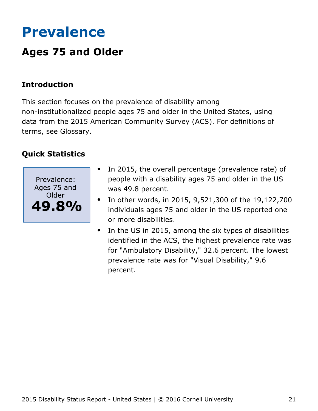## <span id="page-21-0"></span>**Prevalence**

## **Ages 75 and Older**

### **Introduction**

This section focuses on the prevalence of disability among non-institutionalized people ages 75 and older in the United States, using data from the 2015 American Community Survey (ACS). For definitions of terms, see Glossary.



- In 2015, the overall percentage (prevalence rate) of  $\bullet$ people with a disability ages 75 and older in the US was 49.8 percent.
- In other words, in 2015, 9,521,300 of the 19,122,700  $\bullet$ individuals ages 75 and older in the US reported one or more disabilities.
- In the US in 2015, among the six types of disabilities  $\bullet$ identified in the ACS, the highest prevalence rate was for "Ambulatory Disability," 32.6 percent. The lowest prevalence rate was for "Visual Disability," 9.6 percent.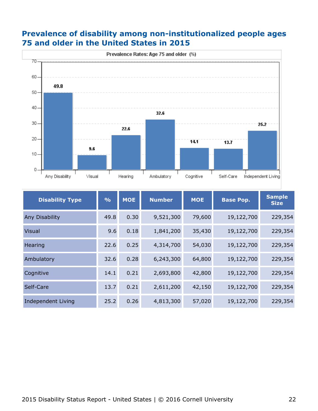#### **Prevalence of disability among non-institutionalized people ages 75 and older in the United States in 2015**



| <b>Disability Type</b>    | $\frac{0}{0}$ | <b>MOE</b> | <b>Number</b> | <b>MOE</b> | <b>Base Pop.</b> | <b>Sample</b><br><b>Size</b> |
|---------------------------|---------------|------------|---------------|------------|------------------|------------------------------|
| Any Disability            | 49.8          | 0.30       | 9,521,300     | 79,600     | 19,122,700       | 229,354                      |
| Visual                    | 9.6           | 0.18       | 1,841,200     | 35,430     | 19,122,700       | 229,354                      |
| Hearing                   | 22.6          | 0.25       | 4,314,700     | 54,030     | 19,122,700       | 229,354                      |
| Ambulatory                | 32.6          | 0.28       | 6,243,300     | 64,800     | 19,122,700       | 229,354                      |
| Cognitive                 | 14.1          | 0.21       | 2,693,800     | 42,800     | 19,122,700       | 229,354                      |
| Self-Care                 | 13.7          | 0.21       | 2,611,200     | 42,150     | 19,122,700       | 229,354                      |
| <b>Independent Living</b> | 25.2          | 0.26       | 4,813,300     | 57,020     | 19,122,700       | 229,354                      |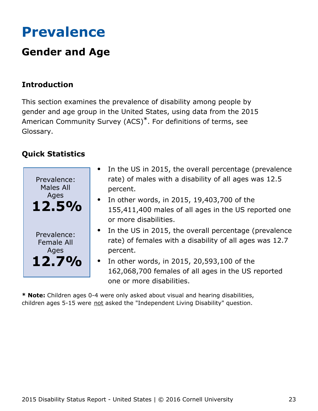## <span id="page-23-0"></span>**Prevalence**

## **Gender and Age**

### **Introduction**

This section examines the prevalence of disability among people by gender and age group in the United States, using data from the 2015 American Community Survey (ACS)\*. For definitions of terms, see Glossary.

### **Quick Statistics**



- In the US in 2015, the overall percentage (prevalence rate) of males with a disability of all ages was 12.5 percent.
- $\bullet$  In other words, in 2015, 19,403,700 of the 155,411,400 males of all ages in the US reported one or more disabilities.
- In the US in 2015, the overall percentage (prevalence rate) of females with a disability of all ages was 12.7 percent.
- In other words, in 2015, 20,593,100 of the 162,068,700 females of all ages in the US reported one or more disabilities.

**\* Note:** Children ages 0-4 were only asked about visual and hearing disabilities, children ages 5-15 were not asked the "Independent Living Disability" question.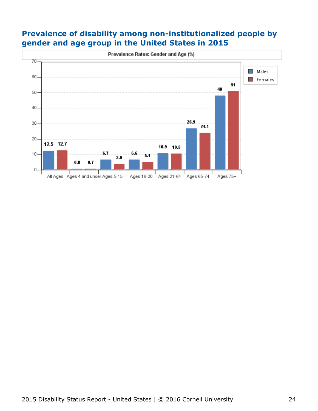#### **Prevalence of disability among non-institutionalized people by gender and age group in the United States in 2015**

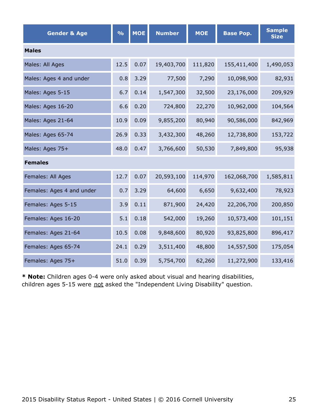| <b>Gender &amp; Age</b>   | $\frac{0}{0}$ | <b>MOE</b> | <b>Number</b> | <b>MOE</b> | <b>Base Pop.</b> | <b>Sample</b><br><b>Size</b> |  |  |  |  |
|---------------------------|---------------|------------|---------------|------------|------------------|------------------------------|--|--|--|--|
| <b>Males</b>              |               |            |               |            |                  |                              |  |  |  |  |
| Males: All Ages           | 12.5          | 0.07       | 19,403,700    | 111,820    | 155,411,400      | 1,490,053                    |  |  |  |  |
| Males: Ages 4 and under   | 0.8           | 3.29       | 77,500        | 7,290      | 10,098,900       | 82,931                       |  |  |  |  |
| Males: Ages 5-15          | 6.7           | 0.14       | 1,547,300     | 32,500     | 23,176,000       | 209,929                      |  |  |  |  |
| Males: Ages 16-20         | 6.6           | 0.20       | 724,800       | 22,270     | 10,962,000       | 104,564                      |  |  |  |  |
| Males: Ages 21-64         | 10.9          | 0.09       | 9,855,200     | 80,940     | 90,586,000       | 842,969                      |  |  |  |  |
| Males: Ages 65-74         | 26.9          | 0.33       | 3,432,300     | 48,260     | 12,738,800       | 153,722                      |  |  |  |  |
| Males: Ages 75+           | 48.0          | 0.47       | 3,766,600     | 50,530     | 7,849,800        | 95,938                       |  |  |  |  |
| <b>Females</b>            |               |            |               |            |                  |                              |  |  |  |  |
| Females: All Ages         | 12.7          | 0.07       | 20,593,100    | 114,970    | 162,068,700      | 1,585,811                    |  |  |  |  |
| Females: Ages 4 and under | 0.7           | 3.29       | 64,600        | 6,650      | 9,632,400        | 78,923                       |  |  |  |  |
| Females: Ages 5-15        | 3.9           | 0.11       | 871,900       | 24,420     | 22,206,700       | 200,850                      |  |  |  |  |
| Females: Ages 16-20       | 5.1           | 0.18       | 542,000       | 19,260     | 10,573,400       | 101,151                      |  |  |  |  |
| Females: Ages 21-64       | 10.5          | 0.08       | 9,848,600     | 80,920     | 93,825,800       | 896,417                      |  |  |  |  |
| Females: Ages 65-74       | 24.1          | 0.29       | 3,511,400     | 48,800     | 14,557,500       | 175,054                      |  |  |  |  |
| Females: Ages 75+         | 51.0          | 0.39       | 5,754,700     | 62,260     | 11,272,900       | 133,416                      |  |  |  |  |

**\* Note:** Children ages 0-4 were only asked about visual and hearing disabilities, children ages 5-15 were not asked the "Independent Living Disability" question.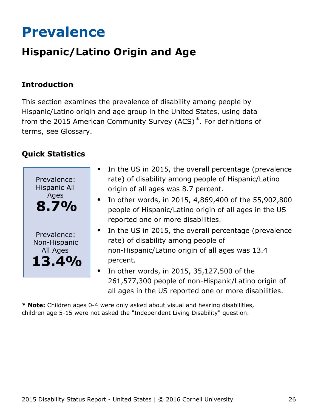## <span id="page-26-0"></span>**Prevalence**

## **Hispanic/Latino Origin and Age**

### **Introduction**

This section examines the prevalence of disability among people by Hispanic/Latino origin and age group in the United States, using data from the 2015 American Community Survey (ACS)\*. For definitions of terms, see Glossary.

### **Quick Statistics**



- In the US in 2015, the overall percentage (prevalence rate) of disability among people of Hispanic/Latino origin of all ages was 8.7 percent.
- In other words, in 2015, 4,869,400 of the 55,902,800 people of Hispanic/Latino origin of all ages in the US reported one or more disabilities.
- In the US in 2015, the overall percentage (prevalence rate) of disability among people of non-Hispanic/Latino origin of all ages was 13.4 percent.
- In other words, in 2015, 35,127,500 of the 261,577,300 people of non-Hispanic/Latino origin of all ages in the US reported one or more disabilities.

**\* Note:** Children ages 0-4 were only asked about visual and hearing disabilities, children age 5-15 were not asked the "Independent Living Disability" question.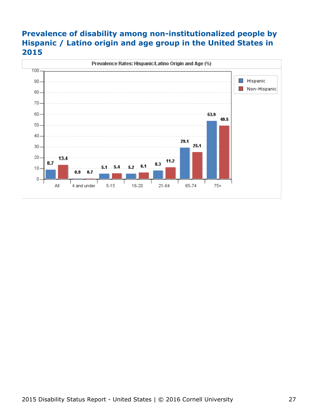### **Prevalence of disability among non-institutionalized people by Hispanic / Latino origin and age group in the United States in 2015**

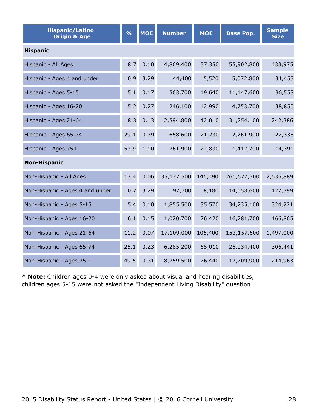| <b>Hispanic/Latino</b><br><b>Origin &amp; Age</b> | $\frac{9}{6}$ | <b>MOE</b> | <b>Number</b> | <b>MOE</b> | <b>Base Pop.</b> | <b>Sample</b><br><b>Size</b> |  |  |  |
|---------------------------------------------------|---------------|------------|---------------|------------|------------------|------------------------------|--|--|--|
| <b>Hispanic</b>                                   |               |            |               |            |                  |                              |  |  |  |
| Hispanic - All Ages                               | 8.7           | 0.10       | 4,869,400     | 57,350     | 55,902,800       | 438,975                      |  |  |  |
| Hispanic - Ages 4 and under                       | 0.9           | 3.29       | 44,400        | 5,520      | 5,072,800        | 34,455                       |  |  |  |
| Hispanic - Ages 5-15                              | 5.1           | 0.17       | 563,700       | 19,640     | 11,147,600       | 86,558                       |  |  |  |
| Hispanic - Ages 16-20                             | 5.2           | 0.27       | 246,100       | 12,990     | 4,753,700        | 38,850                       |  |  |  |
| Hispanic - Ages 21-64                             | 8.3           | 0.13       | 2,594,800     | 42,010     | 31,254,100       | 242,386                      |  |  |  |
| Hispanic - Ages 65-74                             | 29.1          | 0.79       | 658,600       | 21,230     | 2,261,900        | 22,335                       |  |  |  |
| Hispanic - Ages 75+                               | 53.9          | 1.10       | 761,900       | 22,830     | 1,412,700        | 14,391                       |  |  |  |
| <b>Non-Hispanic</b>                               |               |            |               |            |                  |                              |  |  |  |
| Non-Hispanic - All Ages                           | 13.4          | 0.06       | 35,127,500    | 146,490    | 261,577,300      | 2,636,889                    |  |  |  |
| Non-Hispanic - Ages 4 and under                   | 0.7           | 3.29       | 97,700        | 8,180      | 14,658,600       | 127,399                      |  |  |  |
| Non-Hispanic - Ages 5-15                          | 5.4           | 0.10       | 1,855,500     | 35,570     | 34,235,100       | 324,221                      |  |  |  |
| Non-Hispanic - Ages 16-20                         | 6.1           | 0.15       | 1,020,700     | 26,420     | 16,781,700       | 166,865                      |  |  |  |
| Non-Hispanic - Ages 21-64                         | 11.2          | 0.07       | 17,109,000    | 105,400    | 153,157,600      | 1,497,000                    |  |  |  |
| Non-Hispanic - Ages 65-74                         | 25.1          | 0.23       | 6,285,200     | 65,010     | 25,034,400       | 306,441                      |  |  |  |
| Non-Hispanic - Ages 75+                           | 49.5          | 0.31       | 8,759,500     | 76,440     | 17,709,900       | 214,963                      |  |  |  |

**\* Note:** Children ages 0-4 were only asked about visual and hearing disabilities, children ages 5-15 were not asked the "Independent Living Disability" question.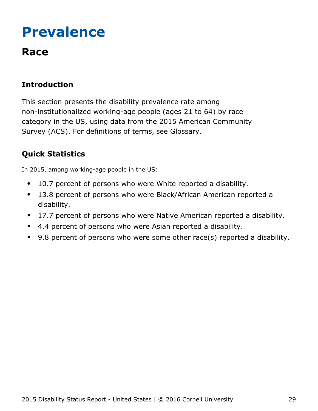## <span id="page-29-0"></span>**Prevalence**

## **Race**

### **Introduction**

This section presents the disability prevalence rate among non-institutionalized working-age people (ages 21 to 64) by race category in the US, using data from the 2015 American Community Survey (ACS). For definitions of terms, see Glossary.

### **Quick Statistics**

In 2015, among working-age people in the US:

- 10.7 percent of persons who were White reported a disability.  $\bullet$
- 13.8 percent of persons who were Black/African American reported a  $\bullet$ disability.
- 17.7 percent of persons who were Native American reported a disability.  $\bullet$
- 4.4 percent of persons who were Asian reported a disability.
- 9.8 percent of persons who were some other race(s) reported a disability.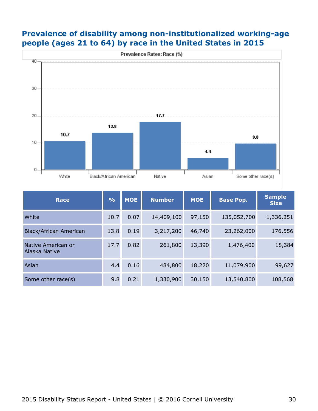#### **Prevalence of disability among non-institutionalized working-age people (ages 21 to 64) by race in the United States in 2015**



| Race                                | $\frac{0}{0}$ | <b>MOE</b> | <b>Number</b> | <b>MOE</b> | <b>Base Pop.</b> | <b>Sample</b><br><b>Size</b> |
|-------------------------------------|---------------|------------|---------------|------------|------------------|------------------------------|
| White                               | 10.7          | 0.07       | 14,409,100    | 97,150     | 135,052,700      | 1,336,251                    |
| <b>Black/African American</b>       | 13.8          | 0.19       | 3,217,200     | 46,740     | 23,262,000       | 176,556                      |
| Native American or<br>Alaska Native | 17.7          | 0.82       | 261,800       | 13,390     | 1,476,400        | 18,384                       |
| Asian                               | 4.4           | 0.16       | 484,800       | 18,220     | 11,079,900       | 99,627                       |
| Some other race(s)                  | 9.8           | 0.21       | 1,330,900     | 30,150     | 13,540,800       | 108,568                      |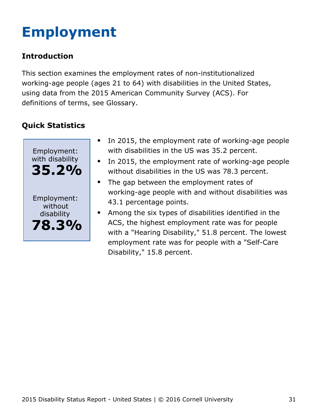# <span id="page-31-0"></span>**Employment**

### **Introduction**

This section examines the employment rates of non-institutionalized working-age people (ages 21 to 64) with disabilities in the United States, using data from the 2015 American Community Survey (ACS). For definitions of terms, see Glossary.



- In 2015, the employment rate of working-age people  $\bullet$ with disabilities in the US was 35.2 percent.
- In 2015, the employment rate of working-age people  $\bullet$ without disabilities in the US was 78.3 percent.
- The gap between the employment rates of  $\bullet$ working-age people with and without disabilities was 43.1 percentage points.
- Among the six types of disabilities identified in the ACS, the highest employment rate was for people with a "Hearing Disability," 51.8 percent. The lowest employment rate was for people with a "Self-Care Disability," 15.8 percent.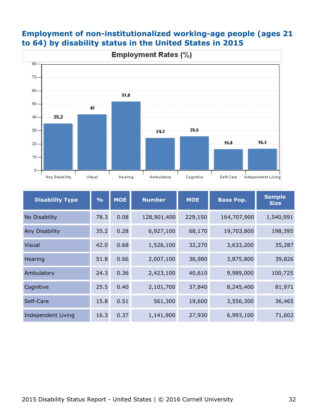

#### **Employment of non-institutionalized working-age people (ages 21 to 64) by disability status in the United States in 2015**

| <b>Disability Type</b> | $\frac{9}{6}$ | <b>MOE</b> | <b>Number</b> | <b>MOE</b><br><b>Base Pop.</b> |             | <b>Sample</b><br><b>Size</b> |
|------------------------|---------------|------------|---------------|--------------------------------|-------------|------------------------------|
| No Disability          | 78.3          | 0.08       | 128,901,400   | 229,150                        | 164,707,900 | 1,540,991                    |
| Any Disability         | 35.2          | 0.28       | 6,927,100     | 68,170                         | 19,703,800  | 198,395                      |
| <b>Visual</b>          | 42.0          | 0.68       | 1,526,100     | 32,270                         | 3,633,200   | 35,287                       |
| Hearing                | 51.8          | 0.66       | 2,007,100     | 36,980                         | 3,875,800   | 39,826                       |
| Ambulatory             | 24.3          | 0.36       | 2,423,100     | 40,610                         | 9,989,000   | 100,725                      |
| Cognitive              | 25.5          | 0.40       | 2,101,700     | 37,840                         | 8,245,400   | 81,971                       |
| Self-Care              | 15.8          | 0.51       | 561,300       | 19,600                         | 3,556,300   | 36,465                       |
| Independent Living     | 16.3          | 0.37       | 1,141,900     | 27,930                         | 6,993,100   | 71,602                       |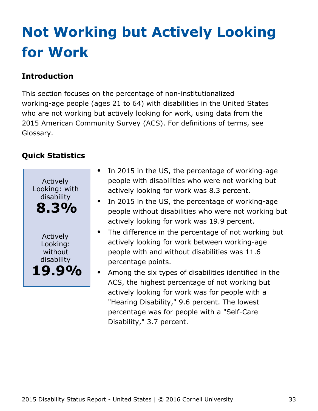# <span id="page-33-0"></span>**Not Working but Actively Looking for Work**

### **Introduction**

This section focuses on the percentage of non-institutionalized working-age people (ages 21 to 64) with disabilities in the United States who are not working but actively looking for work, using data from the 2015 American Community Survey (ACS). For definitions of terms, see Glossary.



- In 2015 in the US, the percentage of working-age people with disabilities who were not working but actively looking for work was 8.3 percent.
- In 2015 in the US, the percentage of working-age people without disabilities who were not working but actively looking for work was 19.9 percent.
- $\bullet$ The difference in the percentage of not working but actively looking for work between working-age people with and without disabilities was 11.6 percentage points.
	- Among the six types of disabilities identified in the ACS, the highest percentage of not working but actively looking for work was for people with a "Hearing Disability," 9.6 percent. The lowest percentage was for people with a "Self-Care Disability," 3.7 percent.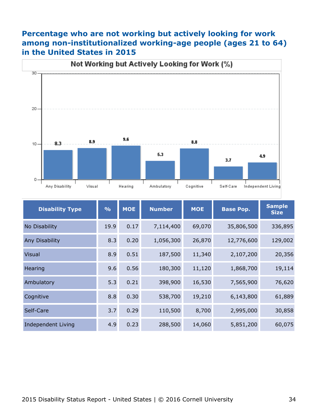#### **Percentage who are not working but actively looking for work among non-institutionalized working-age people (ages 21 to 64) in the United States in 2015**



| <b>Disability Type</b>    | $\frac{9}{6}$ | <b>MOE</b> | <b>Number</b> | <b>MOE</b><br><b>Base Pop.</b> |            | <b>Sample</b><br><b>Size</b> |
|---------------------------|---------------|------------|---------------|--------------------------------|------------|------------------------------|
| No Disability             | 19.9          | 0.17       | 7,114,400     | 69,070                         | 35,806,500 | 336,895                      |
| Any Disability            | 8.3           | 0.20       | 1,056,300     | 26,870                         | 12,776,600 | 129,002                      |
| <b>Visual</b>             | 8.9           | 0.51       | 187,500       | 11,340                         | 2,107,200  | 20,356                       |
| Hearing                   | 9.6           | 0.56       | 180,300       | 11,120                         | 1,868,700  | 19,114                       |
| Ambulatory                | 5.3           | 0.21       | 398,900       | 16,530                         | 7,565,900  | 76,620                       |
| Cognitive                 | 8.8           | 0.30       | 538,700       | 19,210                         | 6,143,800  | 61,889                       |
| Self-Care                 | 3.7           | 0.29       | 110,500       | 8,700                          | 2,995,000  | 30,858                       |
| <b>Independent Living</b> | 4.9           | 0.23       | 288,500       | 14,060                         | 5,851,200  | 60,075                       |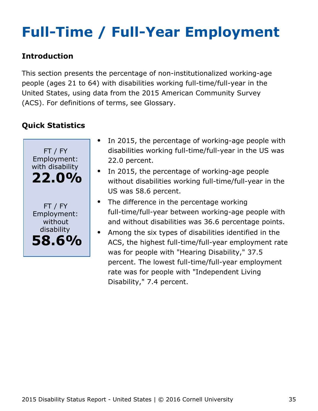# <span id="page-35-0"></span>**Full-Time / Full-Year Employment**

#### **Introduction**

This section presents the percentage of non-institutionalized working-age people (ages 21 to 64) with disabilities working full-time/full-year in the United States, using data from the 2015 American Community Survey (ACS). For definitions of terms, see Glossary.



- In 2015, the percentage of working-age people with disabilities working full-time/full-year in the US was 22.0 percent.
- In 2015, the percentage of working-age people without disabilities working full-time/full-year in the US was 58.6 percent.
- The difference in the percentage working full-time/full-year between working-age people with and without disabilities was 36.6 percentage points.
- Among the six types of disabilities identified in the  $\bullet$ ACS, the highest full-time/full-year employment rate was for people with "Hearing Disability," 37.5 percent. The lowest full-time/full-year employment rate was for people with "Independent Living Disability," 7.4 percent.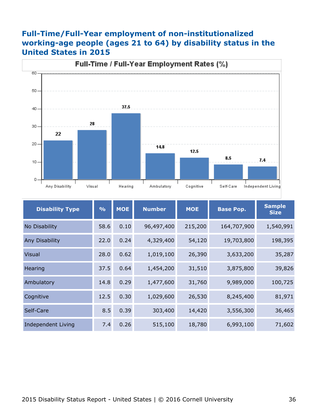#### **Full-Time/Full-Year employment of non-institutionalized working-age people (ages 21 to 64) by disability status in the United States in 2015**



| <b>Disability Type</b>    | $\frac{9}{6}$ | <b>MOE</b> | <b>Number</b> | <b>MOE</b> | <b>Base Pop.</b> | <b>Sample</b><br><b>Size</b> |
|---------------------------|---------------|------------|---------------|------------|------------------|------------------------------|
| No Disability             | 58.6          | 0.10       | 96,497,400    | 215,200    | 164,707,900      | 1,540,991                    |
| <b>Any Disability</b>     | 22.0          | 0.24       | 4,329,400     | 54,120     | 19,703,800       | 198,395                      |
| <b>Visual</b>             | 28.0          | 0.62       | 1,019,100     | 26,390     | 3,633,200        | 35,287                       |
| Hearing                   | 37.5          | 0.64       | 1,454,200     | 31,510     | 3,875,800        | 39,826                       |
| Ambulatory                | 14.8          | 0.29       | 1,477,600     | 31,760     | 9,989,000        | 100,725                      |
| Cognitive                 | 12.5          | 0.30       | 1,029,600     | 26,530     | 8,245,400        | 81,971                       |
| Self-Care                 | 8.5           | 0.39       | 303,400       | 14,420     | 3,556,300        | 36,465                       |
| <b>Independent Living</b> | 7.4           | 0.26       | 515,100       | 18,780     | 6,993,100        | 71,602                       |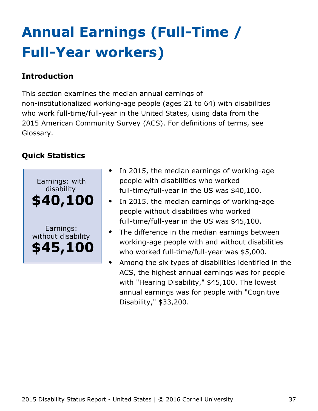# <span id="page-37-0"></span>**Annual Earnings (Full-Time / Full-Year workers)**

### **Introduction**

This section examines the median annual earnings of non-institutionalized working-age people (ages 21 to 64) with disabilities who work full-time/full-year in the United States, using data from the 2015 American Community Survey (ACS). For definitions of terms, see Glossary.



- In 2015, the median earnings of working-age people with disabilities who worked full-time/full-year in the US was \$40,100.
- In 2015, the median earnings of working-age people without disabilities who worked full-time/full-year in the US was \$45,100.
- The difference in the median earnings between working-age people with and without disabilities who worked full-time/full-year was \$5,000.
- Among the six types of disabilities identified in the ACS, the highest annual earnings was for people with "Hearing Disability," \$45,100. The lowest annual earnings was for people with "Cognitive Disability," \$33,200.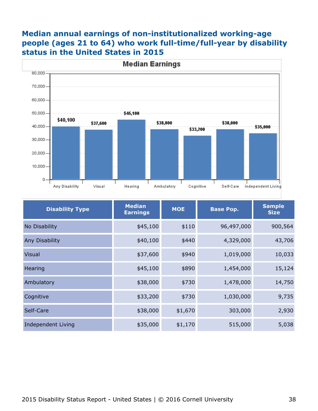#### **Median annual earnings of non-institutionalized working-age people (ages 21 to 64) who work full-time/full-year by disability status in the United States in 2015**



| <b>Disability Type</b>    | <b>Median</b><br><b>Earnings</b> | <b>MOE</b><br><b>Base Pop.</b> |            | <b>Sample</b><br><b>Size</b> |
|---------------------------|----------------------------------|--------------------------------|------------|------------------------------|
| No Disability             | \$45,100                         | \$110                          | 96,497,000 | 900,564                      |
| Any Disability            | \$40,100                         | \$440                          | 4,329,000  | 43,706                       |
| <b>Visual</b>             | \$37,600                         | \$940                          | 1,019,000  | 10,033                       |
| Hearing                   | \$45,100                         | \$890                          | 1,454,000  | 15,124                       |
| Ambulatory                | \$38,000                         | \$730                          | 1,478,000  | 14,750                       |
| Cognitive                 | \$33,200                         | \$730                          | 1,030,000  | 9,735                        |
| Self-Care                 | \$38,000                         | \$1,670                        | 303,000    | 2,930                        |
| <b>Independent Living</b> | \$35,000                         | \$1,170                        | 515,000    | 5,038                        |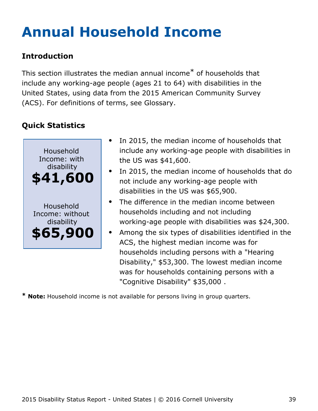# <span id="page-39-0"></span>**Annual Household Income**

### **Introduction**

This section illustrates the median annual income\* of households that include any working-age people (ages 21 to 64) with disabilities in the United States, using data from the 2015 American Community Survey (ACS). For definitions of terms, see Glossary.

## **Quick Statistics**



- In 2015, the median income of households that include any working-age people with disabilities in the US was \$41,600.
- In 2015, the median income of households that do not include any working-age people with disabilities in the US was \$65,900.
- The difference in the median income between households including and not including working-age people with disabilities was \$24,300.
- Among the six types of disabilities identified in the ACS, the highest median income was for households including persons with a "Hearing Disability," \$53,300. The lowest median income was for households containing persons with a "Cognitive Disability" \$35,000 .

**\* Note:** Household income is not available for persons living in group quarters.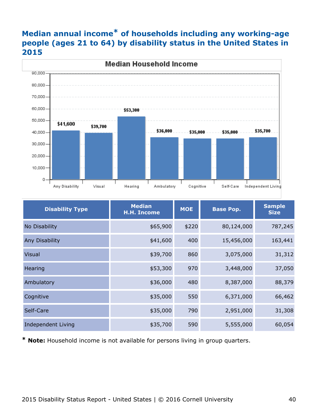### **Median annual income\* of households including any working-age people (ages 21 to 64) by disability status in the United States in 2015**



| <b>Disability Type</b>    | <b>Median</b><br><b>MOE</b><br><b>Base Pop.</b><br><b>H.H. Income</b> |       | <b>Sample</b><br><b>Size</b> |         |
|---------------------------|-----------------------------------------------------------------------|-------|------------------------------|---------|
| No Disability             | \$65,900                                                              | \$220 | 80,124,000                   | 787,245 |
| Any Disability            | \$41,600                                                              | 400   | 15,456,000                   | 163,441 |
| <b>Visual</b>             | \$39,700                                                              | 860   | 3,075,000                    | 31,312  |
| Hearing                   | \$53,300                                                              | 970   | 3,448,000                    | 37,050  |
| Ambulatory                | \$36,000                                                              | 480   | 8,387,000                    | 88,379  |
| Cognitive                 | \$35,000                                                              | 550   | 6,371,000                    | 66,462  |
| Self-Care                 | \$35,000                                                              | 790   | 2,951,000                    | 31,308  |
| <b>Independent Living</b> | \$35,700                                                              | 590   | 5,555,000                    | 60,054  |

**\* Note:** Household income is not available for persons living in group quarters.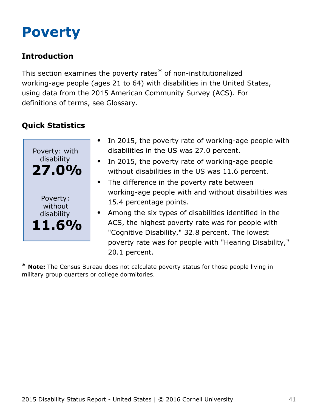## <span id="page-41-0"></span>**Poverty**

### **Introduction**

This section examines the poverty rates\* of non-institutionalized working-age people (ages 21 to 64) with disabilities in the United States, using data from the 2015 American Community Survey (ACS). For definitions of terms, see Glossary.

## **Quick Statistics**



- In 2015, the poverty rate of working-age people with disabilities in the US was 27.0 percent.
- In 2015, the poverty rate of working-age people  $\bullet$ without disabilities in the US was 11.6 percent.
- The difference in the poverty rate between working-age people with and without disabilities was 15.4 percentage points.
- Among the six types of disabilities identified in the ACS, the highest poverty rate was for people with "Cognitive Disability," 32.8 percent. The lowest poverty rate was for people with "Hearing Disability," 20.1 percent.

**\* Note:** The Census Bureau does not calculate poverty status for those people living in military group quarters or college dormitories.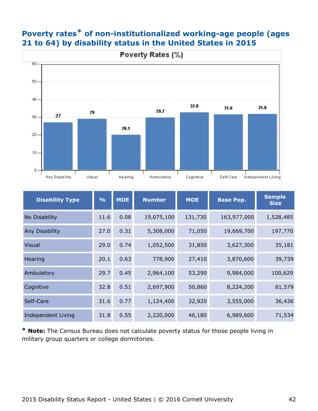

#### **Poverty rates\* of non-institutionalized working-age people (ages 21 to 64) by disability status in the United States in 2015**

| <b>Disability Type</b> | $\frac{0}{0}$ | <b>MOE</b> | <b>Number</b> | <b>MOE</b> | <b>Base Pop.</b> |           |
|------------------------|---------------|------------|---------------|------------|------------------|-----------|
| No Disability          | 11.6          | 0.08       | 19,075,100    | 131,730    | 163,977,000      | 1,528,485 |
| Any Disability         | 27.0          | 0.31       | 5,308,000     | 71,050     | 19,669,700       | 197,770   |
| <b>Visual</b>          | 29.0          | 0.74       | 1,052,500     | 31,850     | 3,627,300        | 35,181    |
| Hearing                | 20.1          | 0.63       | 778,900       | 27,410     | 3,870,600        | 39,739    |
| Ambulatory             | 29.7          | 0.45       | 2,964,100     | 53,290     | 9,984,000        | 100,629   |
| Cognitive              | 32.8          | 0.51       | 2,697,900     | 50,860     | 8,224,200        | 81,579    |
| Self-Care              | 31.6          | 0.77       | 1,124,400     | 32,920     | 3,555,000        | 36,436    |
| Independent Living     | 31.8          | 0.55       | 2,220,000     | 46,180     | 6,989,600        | 71,534    |

**\* Note:** The Census Bureau does not calculate poverty status for those people living in military group quarters or college dormitories.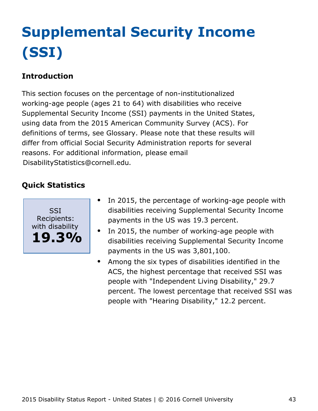# <span id="page-43-0"></span>**Supplemental Security Income (SSI)**

### **Introduction**

This section focuses on the percentage of non-institutionalized working-age people (ages 21 to 64) with disabilities who receive Supplemental Security Income (SSI) payments in the United States, using data from the 2015 American Community Survey (ACS). For definitions of terms, see Glossary. Please note that these results will differ from official Social Security Administration reports for several reasons. For additional information, please email [DisabilityStatistics@cornell.edu](mailto:DisabilityStatistics@cornell.edu).



- In 2015, the percentage of working-age people with  $\bullet$ disabilities receiving Supplemental Security Income payments in the US was 19.3 percent.
- In 2015, the number of working-age people with disabilities receiving Supplemental Security Income payments in the US was 3,801,100.
- Among the six types of disabilities identified in the  $\bullet$ ACS, the highest percentage that received SSI was people with "Independent Living Disability," 29.7 percent. The lowest percentage that received SSI was people with "Hearing Disability," 12.2 percent.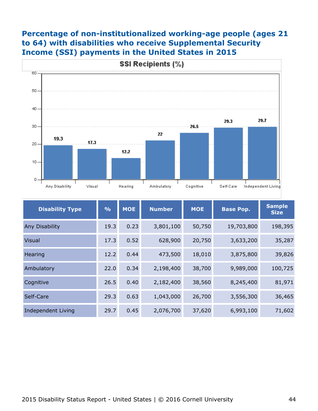#### **Percentage of non-institutionalized working-age people (ages 21 to 64) with disabilities who receive Supplemental Security Income (SSI) payments in the United States in 2015**



| <b>Disability Type</b> | $\frac{0}{0}$ | <b>MOE</b> | <b>Number</b> | <b>MOE</b> |            | <b>Sample</b><br><b>Size</b> |
|------------------------|---------------|------------|---------------|------------|------------|------------------------------|
| Any Disability         | 19.3          | 0.23       | 3,801,100     | 50,750     | 19,703,800 | 198,395                      |
| <b>Visual</b>          | 17.3          | 0.52       | 628,900       | 20,750     | 3,633,200  | 35,287                       |
| Hearing                | 12.2          | 0.44       | 473,500       | 18,010     | 3,875,800  | 39,826                       |
| Ambulatory             | 22.0          | 0.34       | 2,198,400     | 38,700     | 9,989,000  | 100,725                      |
| Cognitive              | 26.5          | 0.40       | 2,182,400     | 38,560     | 8,245,400  | 81,971                       |
| Self-Care              | 29.3          | 0.63       | 1,043,000     | 26,700     | 3,556,300  | 36,465                       |
| Independent Living     | 29.7          | 0.45       | 2,076,700     | 37,620     | 6,993,100  | 71,602                       |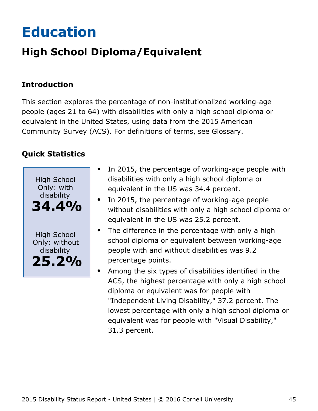# <span id="page-45-0"></span>**Education**

## **High School Diploma/Equivalent**

### **Introduction**

This section explores the percentage of non-institutionalized working-age people (ages 21 to 64) with disabilities with only a high school diploma or equivalent in the United States, using data from the 2015 American Community Survey (ACS). For definitions of terms, see Glossary.



- In 2015, the percentage of working-age people with  $\bullet$ disabilities with only a high school diploma or equivalent in the US was 34.4 percent.
- In 2015, the percentage of working-age people without disabilities with only a high school diploma or equivalent in the US was 25.2 percent.
- The difference in the percentage with only a high school diploma or equivalent between working-age people with and without disabilities was 9.2 percentage points.
- Among the six types of disabilities identified in the ACS, the highest percentage with only a high school diploma or equivalent was for people with "Independent Living Disability," 37.2 percent. The lowest percentage with only a high school diploma or equivalent was for people with "Visual Disability," 31.3 percent.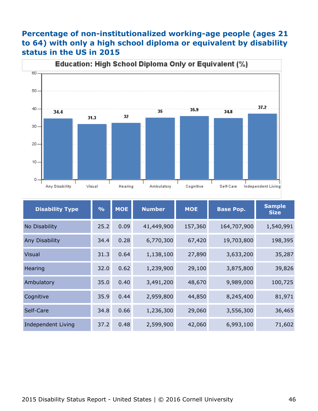#### **Percentage of non-institutionalized working-age people (ages 21 to 64) with only a high school diploma or equivalent by disability status in the US in 2015**



| <b>Disability Type</b> | $\frac{9}{6}$ | <b>MOE</b> | <b>Number</b> | <b>MOE</b> | <b>Base Pop.</b> |           |
|------------------------|---------------|------------|---------------|------------|------------------|-----------|
| No Disability          | 25.2          | 0.09       | 41,449,900    | 157,360    | 164,707,900      | 1,540,991 |
| Any Disability         | 34.4          | 0.28       | 6,770,300     | 67,420     | 19,703,800       | 198,395   |
| <b>Visual</b>          | 31.3          | 0.64       | 1,138,100     | 27,890     | 3,633,200        | 35,287    |
| Hearing                | 32.0          | 0.62       | 1,239,900     | 29,100     | 3,875,800        | 39,826    |
| Ambulatory             | 35.0          | 0.40       | 3,491,200     | 48,670     | 9,989,000        | 100,725   |
| Cognitive              | 35.9          | 0.44       | 2,959,800     | 44,850     | 8,245,400        | 81,971    |
| Self-Care              | 34.8          | 0.66       | 1,236,300     | 29,060     | 3,556,300        | 36,465    |
| Independent Living     | 37.2          | 0.48       | 2,599,900     | 42,060     | 6,993,100        | 71,602    |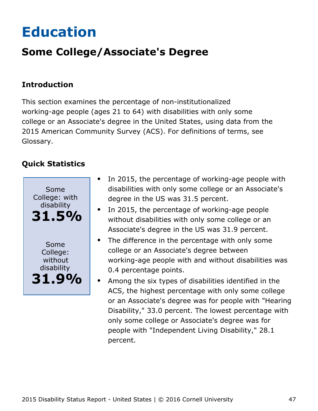# <span id="page-47-0"></span>**Education**

## **Some College/Associate's Degree**

#### **Introduction**

This section examines the percentage of non-institutionalized working-age people (ages 21 to 64) with disabilities with only some college or an Associate's degree in the United States, using data from the 2015 American Community Survey (ACS). For definitions of terms, see Glossary.



- In 2015, the percentage of working-age people with  $\bullet$ disabilities with only some college or an Associate's degree in the US was 31.5 percent.
- In 2015, the percentage of working-age people without disabilities with only some college or an Associate's degree in the US was 31.9 percent.
- The difference in the percentage with only some  $\bullet$ college or an Associate's degree between working-age people with and without disabilities was 0.4 percentage points.
- Among the six types of disabilities identified in the ACS, the highest percentage with only some college or an Associate's degree was for people with "Hearing Disability," 33.0 percent. The lowest percentage with only some college or Associate's degree was for people with "Independent Living Disability," 28.1 percent.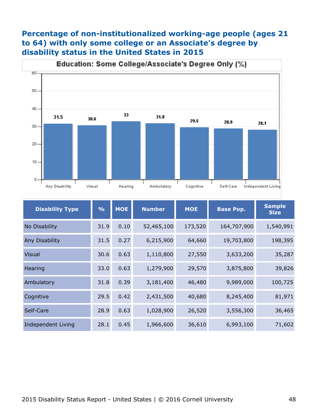#### **Percentage of non-institutionalized working-age people (ages 21 to 64) with only some college or an Associate's degree by disability status in the United States in 2015**



| <b>Disability Type</b>    | $\frac{1}{2}$ | <b>MOE</b> | <b>Number</b> | <b>MOE</b> | <b>Base Pop.</b> | <b>Sample</b><br><b>Size</b> |
|---------------------------|---------------|------------|---------------|------------|------------------|------------------------------|
| No Disability             | 31.9          | 0.10       | 52,465,100    | 173,520    | 164,707,900      | 1,540,991                    |
| Any Disability            | 31.5          | 0.27       | 6,215,900     | 64,660     | 19,703,800       | 198,395                      |
| <b>Visual</b>             | 30.6          | 0.63       | 1,110,800     | 27,550     | 3,633,200        | 35,287                       |
| Hearing                   | 33.0          | 0.63       | 1,279,900     | 29,570     | 3,875,800        | 39,826                       |
| Ambulatory                | 31.8          | 0.39       | 3,181,400     | 46,480     | 9,989,000        | 100,725                      |
| Cognitive                 | 29.5          | 0.42       | 2,431,500     | 40,680     | 8,245,400        | 81,971                       |
| Self-Care                 | 28.9          | 0.63       | 1,028,900     | 26,520     | 3,556,300        | 36,465                       |
| <b>Independent Living</b> | 28.1          | 0.45       | 1,966,600     | 36,610     | 6,993,100        | 71,602                       |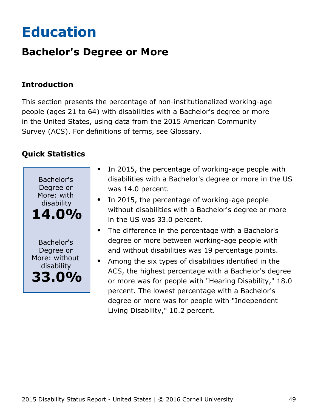# <span id="page-49-0"></span>**Education**

## **Bachelor's Degree or More**

### **Introduction**

This section presents the percentage of non-institutionalized working-age people (ages 21 to 64) with disabilities with a Bachelor's degree or more in the United States, using data from the 2015 American Community Survey (ACS). For definitions of terms, see Glossary.



- In 2015, the percentage of working-age people with disabilities with a Bachelor's degree or more in the US was 14.0 percent.
- In 2015, the percentage of working-age people without disabilities with a Bachelor's degree or more in the US was 33.0 percent.
- The difference in the percentage with a Bachelor's degree or more between working-age people with and without disabilities was 19 percentage points.
- Among the six types of disabilities identified in the ACS, the highest percentage with a Bachelor's degree or more was for people with "Hearing Disability," 18.0 percent. The lowest percentage with a Bachelor's degree or more was for people with "Independent Living Disability," 10.2 percent.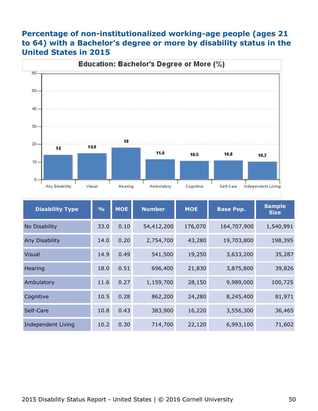### **Percentage of non-institutionalized working-age people (ages 21 to 64) with a Bachelor's degree or more by disability status in the United States in 2015**



| <b>Disability Type</b>    | $\frac{0}{0}$ | <b>MOE</b> | <b>Number</b> | <b>MOE</b><br><b>Base Pop.</b> |             | <b>Sample</b><br><b>Size</b> |
|---------------------------|---------------|------------|---------------|--------------------------------|-------------|------------------------------|
| No Disability             | 33.0          | 0.10       | 54,412,200    | 176,070                        | 164,707,900 | 1,540,991                    |
| <b>Any Disability</b>     | 14.0          | 0.20       | 2,754,700     | 43,280                         | 19,703,800  | 198,395                      |
| <b>Visual</b>             | 14.9          | 0.49       | 541,500       | 19,250                         | 3,633,200   | 35,287                       |
| Hearing                   | 18.0          | 0.51       | 696,400       | 21,830                         | 3,875,800   | 39,826                       |
| Ambulatory                | 11.6          | 0.27       | 1,159,700     | 28,150                         | 9,989,000   | 100,725                      |
| Cognitive                 | 10.5          | 0.28       | 862,200       | 24,280                         | 8,245,400   | 81,971                       |
| Self-Care                 | 10.8          | 0.43       | 383,900       | 16,220                         | 3,556,300   | 36,465                       |
| <b>Independent Living</b> | 10.2          | 0.30       | 714,700       | 22,120                         | 6,993,100   | 71,602                       |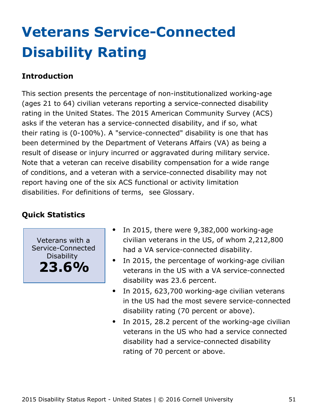# <span id="page-51-0"></span>**Veterans Service-Connected Disability Rating**

#### **Introduction**

This section presents the percentage of non-institutionalized working-age (ages 21 to 64) civilian veterans reporting a service-connected disability rating in the United States. The 2015 American Community Survey (ACS) asks if the veteran has a service-connected disability, and if so, what their rating is (0-100%). A "service-connected" disability is one that has been determined by the Department of Veterans Affairs (VA) as being a result of disease or injury incurred or aggravated during military service. Note that a veteran can receive disability compensation for a wide range of conditions, and a veteran with a service-connected disability may not report having one of the six ACS functional or activity limitation disabilities. For definitions of terms, see Glossary.

### **Quick Statistics**

Veterans with a Service-Connected **Disability 23.6%**

- In 2015, there were 9,382,000 working-age civilian veterans in the US, of whom 2,212,800 had a VA service-connected disability.
- $\bullet$ In 2015, the percentage of working-age civilian veterans in the US with a VA service-connected disability was 23.6 percent.
- In 2015, 623,700 working-age civilian veterans  $\bullet$ in the US had the most severe service-connected disability rating (70 percent or above).
- In 2015, 28.2 percent of the working-age civilian  $\bullet$ veterans in the US who had a service connected disability had a service-connected disability rating of 70 percent or above.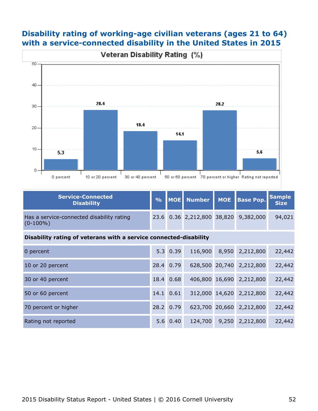#### **Disability rating of working-age civilian veterans (ages 21 to 64) with a service-connected disability in the United States in 2015**



| Service-Connected<br><b>Disability</b>                   |  |  | % MOE Number MOE Base Pop. Sample    |        |
|----------------------------------------------------------|--|--|--------------------------------------|--------|
| Has a service-connected disability rating<br>$(0-100\%)$ |  |  | 23.6 0.36 2,212,800 38,820 9,382,000 | 94,021 |

#### **Disability rating of veterans with a service connected-disability**

| 0 percent            |      | $5.3 \ 0.39$ | 116,900 | 8,950 2,212,800          | 22,442 |
|----------------------|------|--------------|---------|--------------------------|--------|
| 10 or 20 percent     | 28.4 | 0.79         |         | 628,500 20,740 2,212,800 | 22,442 |
| 30 or 40 percent     | 18.4 | 0.68         |         | 406,800 16,690 2,212,800 | 22,442 |
| 50 or 60 percent     | 14.1 | 0.61         |         | 312,000 14,620 2,212,800 | 22,442 |
| 70 percent or higher |      | 28.2 0.79    |         | 623,700 20,660 2,212,800 | 22,442 |
| Rating not reported  |      | 5.6 0.40     | 124,700 | 9,250 2,212,800          | 22,442 |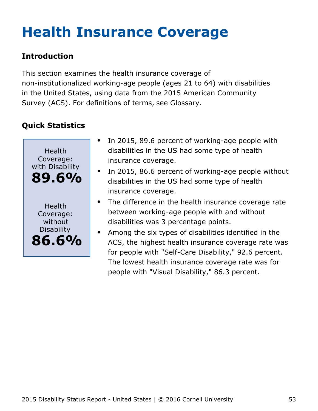# <span id="page-53-0"></span>**Health Insurance Coverage**

### **Introduction**

This section examines the health insurance coverage of non-institutionalized working-age people (ages 21 to 64) with disabilities in the United States, using data from the 2015 American Community Survey (ACS). For definitions of terms, see Glossary.



- In 2015, 89.6 percent of working-age people with disabilities in the US had some type of health insurance coverage.
- In 2015, 86.6 percent of working-age people without disabilities in the US had some type of health insurance coverage.
- The difference in the health insurance coverage rate between working-age people with and without disabilities was 3 percentage points.
- Among the six types of disabilities identified in the  $\bullet$ ACS, the highest health insurance coverage rate was for people with "Self-Care Disability," 92.6 percent. The lowest health insurance coverage rate was for people with "Visual Disability," 86.3 percent.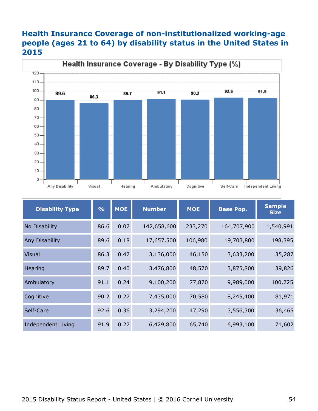#### **Health Insurance Coverage of non-institutionalized working-age people (ages 21 to 64) by disability status in the United States in 2015**



| <b>Disability Type</b> | $\frac{9}{6}$ | <b>MOE</b> | <b>Number</b> | <b>MOE</b> | <b>Base Pop.</b> | <b>Sample</b><br><b>Size</b> |
|------------------------|---------------|------------|---------------|------------|------------------|------------------------------|
| No Disability          | 86.6          | 0.07       | 142,658,600   | 233,270    | 164,707,900      | 1,540,991                    |
| Any Disability         | 89.6          | 0.18       | 17,657,500    | 106,980    | 19,703,800       | 198,395                      |
| <b>Visual</b>          | 86.3          | 0.47       | 3,136,000     | 46,150     | 3,633,200        | 35,287                       |
| Hearing                | 89.7          | 0.40       | 3,476,800     | 48,570     | 3,875,800        | 39,826                       |
| Ambulatory             | 91.1          | 0.24       | 9,100,200     | 77,870     | 9,989,000        | 100,725                      |
| Cognitive              | 90.2          | 0.27       | 7,435,000     | 70,580     | 8,245,400        | 81,971                       |
| Self-Care              | 92.6          | 0.36       | 3,294,200     | 47,290     | 3,556,300        | 36,465                       |
| Independent Living     | 91.9          | 0.27       | 6,429,800     | 65,740     | 6,993,100        | 71,602                       |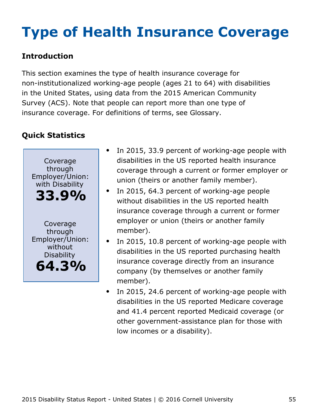# <span id="page-55-0"></span>**Type of Health Insurance Coverage**

### **Introduction**

This section examines the type of health insurance coverage for non-institutionalized working-age people (ages 21 to 64) with disabilities in the United States, using data from the 2015 American Community Survey (ACS). Note that people can report more than one type of insurance coverage. For definitions of terms, see Glossary.



- In 2015, 33.9 percent of working-age people with disabilities in the US reported health insurance coverage through a current or former employer or union (theirs or another family member).
- In 2015, 64.3 percent of working-age people  $\bullet$ without disabilities in the US reported health insurance coverage through a current or former employer or union (theirs or another family member).
- In 2015, 10.8 percent of working-age people with disabilities in the US reported purchasing health insurance coverage directly from an insurance company (by themselves or another family member).
- In 2015, 24.6 percent of working-age people with  $\bullet$ disabilities in the US reported Medicare coverage and 41.4 percent reported Medicaid coverage (or other government-assistance plan for those with low incomes or a disability).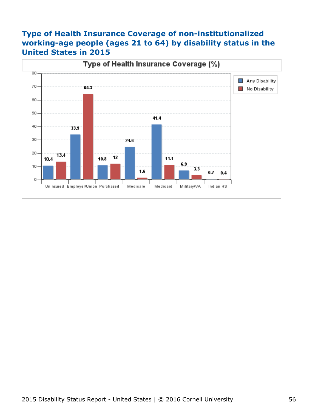#### **Type of Health Insurance Coverage of non-institutionalized working-age people (ages 21 to 64) by disability status in the United States in 2015**

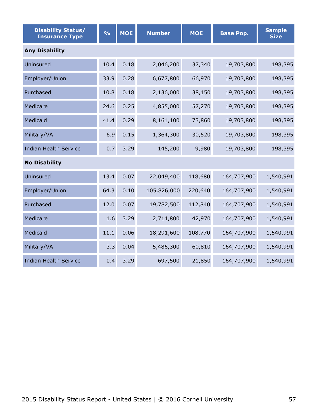| <b>Disability Status/</b><br><b>Insurance Type</b> | $\frac{1}{2}$ | <b>MOE</b> | <b>Number</b> | <b>MOE</b> | <b>Base Pop.</b> | <b>Sample</b><br><b>Size</b> |  |  |  |  |
|----------------------------------------------------|---------------|------------|---------------|------------|------------------|------------------------------|--|--|--|--|
| <b>Any Disability</b>                              |               |            |               |            |                  |                              |  |  |  |  |
| Uninsured                                          | 10.4          | 0.18       | 2,046,200     | 37,340     | 19,703,800       | 198,395                      |  |  |  |  |
| Employer/Union                                     | 33.9          | 0.28       | 6,677,800     | 66,970     | 19,703,800       | 198,395                      |  |  |  |  |
| Purchased                                          | 10.8          | 0.18       | 2,136,000     | 38,150     | 19,703,800       | 198,395                      |  |  |  |  |
| Medicare                                           | 24.6          | 0.25       | 4,855,000     | 57,270     | 19,703,800       | 198,395                      |  |  |  |  |
| Medicaid                                           | 41.4          | 0.29       | 8,161,100     | 73,860     | 19,703,800       | 198,395                      |  |  |  |  |
| Military/VA                                        | 6.9           | 0.15       | 1,364,300     | 30,520     | 19,703,800       | 198,395                      |  |  |  |  |
| <b>Indian Health Service</b>                       | 0.7           | 3.29       | 145,200       | 9,980      | 19,703,800       | 198,395                      |  |  |  |  |
| <b>No Disability</b>                               |               |            |               |            |                  |                              |  |  |  |  |
| Uninsured                                          | 13.4          | 0.07       | 22,049,400    | 118,680    | 164,707,900      | 1,540,991                    |  |  |  |  |
| Employer/Union                                     | 64.3          | 0.10       | 105,826,000   | 220,640    | 164,707,900      | 1,540,991                    |  |  |  |  |
| Purchased                                          | 12.0          | 0.07       | 19,782,500    | 112,840    | 164,707,900      | 1,540,991                    |  |  |  |  |
| Medicare                                           | 1.6           | 3.29       | 2,714,800     | 42,970     | 164,707,900      | 1,540,991                    |  |  |  |  |
| Medicaid                                           | 11.1          | 0.06       | 18,291,600    | 108,770    | 164,707,900      | 1,540,991                    |  |  |  |  |
| Military/VA                                        | 3.3           | 0.04       | 5,486,300     | 60,810     | 164,707,900      | 1,540,991                    |  |  |  |  |
| <b>Indian Health Service</b>                       | 0.4           | 3.29       | 697,500       | 21,850     | 164,707,900      | 1,540,991                    |  |  |  |  |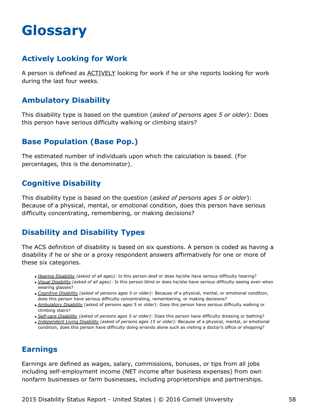## <span id="page-58-0"></span>**Glossary**

#### **Actively Looking for Work**

A person is defined as ACTIVELY looking for work if he or she reports looking for work during the last four weeks.

#### **Ambulatory Disability**

This disability type is based on the question (*asked of persons ages 5 or older*): Does this person have serious difficulty walking or climbing stairs?

#### **Base Population (Base Pop.)**

The estimated number of individuals upon which the calculation is based. (For percentages, this is the denominator).

#### **Cognitive Disability**

This disability type is based on the question (*asked of persons ages 5 or older*): Because of a physical, mental, or emotional condition, does this person have serious difficulty concentrating, remembering, or making decisions?

### **Disability and Disability Types**

The ACS definition of disability is based on six questions. A person is coded as having a disability if he or she or a proxy respondent answers affirmatively for one or more of these six categories.

- *Hearing Disability (asked of all ages):* Is this person deaf or does he/she have serious difficulty hearing?
- *Visual Disability (asked of all ages)*: Is this person blind or does he/she have serious difficulty seeing even when wearing glasses?
- *Cognitive Disability (asked of persons ages 5 or older)*: Because of a physical, mental, or emotional condition, does this person have serious difficulty concentrating, remembering, or making decisions?
- *Ambulatory Disability* (asked of persons ages 5 or older): Does this person have serious difficulty walking or climbing stairs?
- *Self-care Disability (asked of persons ages 5 or older)*: Does this person have difficulty dressing or bathing?
- *Independent Living Disability (asked of persons ages 15 or older):* Because of a physical, mental, or emotional condition, does this person have difficulty doing errands alone such as visiting a doctor's office or shopping?

#### **Earnings**

Earnings are defined as wages, salary, commissions, bonuses, or tips from all jobs including self-employment income (NET income after business expenses) from own nonfarm businesses or farm businesses, including proprietorships and partnerships.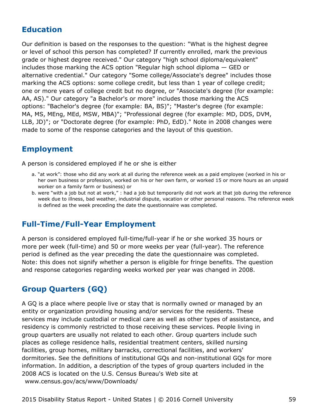#### **Education**

Our definition is based on the responses to the question: "What is the highest degree or level of school this person has completed? If currently enrolled, mark the previous grade or highest degree received." Our category "high school diploma/equivalent" includes those marking the ACS option "Regular high school diploma — GED or alternative credential." Our category "Some college/Associate's degree" includes those marking the ACS options: some college credit, but less than 1 year of college credit; one or more years of college credit but no degree, or "Associate's degree (for example: AA, AS)." Our category "a Bachelor's or more" includes those marking the ACS options: "Bachelor's degree (for example: BA, BS)"; "Master's degree (for example: MA, MS, MEng, MEd, MSW, MBA)"; "Professional degree (for example: MD, DDS, DVM, LLB, JD)"; or "Doctorate degree (for example: PhD, EdD)." Note in 2008 changes were made to some of the response categories and the layout of this question.

#### **Employment**

A person is considered employed if he or she is either

- a. "at work": those who did any work at all during the reference week as a paid employee (worked in his or her own business or profession, worked on his or her own farm, or worked 15 or more hours as an unpaid worker on a family farm or business) or
- b. were "with a job but not at work," : had a job but temporarily did not work at that job during the reference week due to illness, bad weather, industrial dispute, vacation or other personal reasons. The reference week is defined as the week preceding the date the questionnaire was completed.

#### **Full-Time/Full-Year Employment**

A person is considered employed full-time/full-year if he or she worked 35 hours or more per week (full-time) and 50 or more weeks per year (full-year). The reference period is defined as the year preceding the date the questionnaire was completed. Note: this does not signify whether a person is eligible for fringe benefits. The question and response categories regarding weeks worked per year was changed in 2008.

### **Group Quarters (GQ)**

A GQ is a place where people live or stay that is normally owned or managed by an entity or organization providing housing and/or services for the residents. These services may include custodial or medical care as well as other types of assistance, and residency is commonly restricted to those receiving these services. People living in group quarters are usually not related to each other. Group quarters include such places as college residence halls, residential treatment centers, skilled nursing facilities, group homes, military barracks, correctional facilities, and workers' dormitories. See the definitions of institutional GQs and non-institutional GQs for more information. In addition, a description of the types of group quarters included in the 2008 ACS is located on the U.S. Census Bureau's Web site at [www.census.gov/acs/www/Downloads/](http://www.census.gov/acs/www/Downloads/2008_ACS_GQ_Definitions.pdf)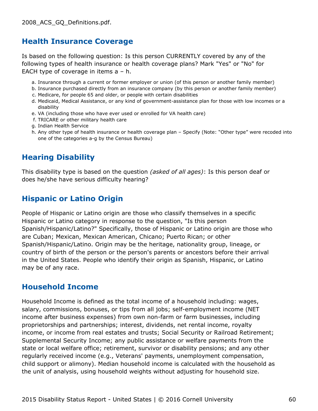#### **Health Insurance Coverage**

Is based on the following question: Is this person CURRENTLY covered by any of the following types of health insurance or health coverage plans? Mark "Yes" or "No" for EACH type of coverage in items a – h.

- a. Insurance through a current or former employer or union (of this person or another family member)
- b. Insurance purchased directly from an insurance company (by this person or another family member)
- c. Medicare, for people 65 and older, or people with certain disabilities
- d. Medicaid, Medical Assistance, or any kind of government-assistance plan for those with low incomes or a disability
- e. VA (including those who have ever used or enrolled for VA health care)
- f. TRICARE or other military health care
- g. Indian Health Service
- h. Any other type of health insurance or health coverage plan Specify (Note: "Other type" were recoded into one of the categories a-g by the Census Bureau)

#### **Hearing Disability**

This disability type is based on the question *(asked of all ages)*: Is this person deaf or does he/she have serious difficulty hearing?

#### **Hispanic or Latino Origin**

People of Hispanic or Latino origin are those who classify themselves in a specific Hispanic or Latino category in response to the question, "Is this person Spanish/Hispanic/Latino?" Specifically, those of Hispanic or Latino origin are those who are Cuban; Mexican, Mexican American, Chicano; Puerto Rican; or other Spanish/Hispanic/Latino. Origin may be the heritage, nationality group, lineage, or country of birth of the person or the person's parents or ancestors before their arrival in the United States. People who identify their origin as Spanish, Hispanic, or Latino may be of any race.

#### **Household Income**

Household Income is defined as the total income of a household including: wages, salary, commissions, bonuses, or tips from all jobs; self-employment income (NET income after business expenses) from own non-farm or farm businesses, including proprietorships and partnerships; interest, dividends, net rental income, royalty income, or income from real estates and trusts; Social Security or Railroad Retirement; Supplemental Security Income; any public assistance or welfare payments from the state or local welfare office; retirement, survivor or disability pensions; and any other regularly received income (e.g., Veterans' payments, unemployment compensation, child support or alimony). Median household income is calculated with the household as the unit of analysis, using household weights without adjusting for household size.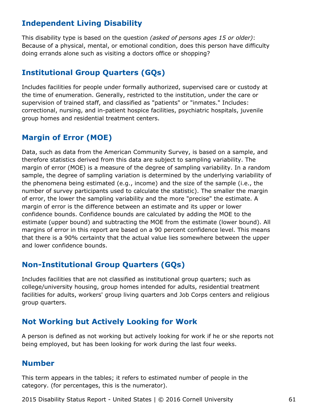#### **Independent Living Disability**

This disability type is based on the question *(asked of persons ages 15 or older)*: Because of a physical, mental, or emotional condition, does this person have difficulty doing errands alone such as visiting a doctors office or shopping?

#### **Institutional Group Quarters (GQs)**

Includes facilities for people under formally authorized, supervised care or custody at the time of enumeration. Generally, restricted to the institution, under the care or supervision of trained staff, and classified as "patients" or "inmates." Includes: correctional, nursing, and in-patient hospice facilities, psychiatric hospitals, juvenile group homes and residential treatment centers.

#### **Margin of Error (MOE)**

Data, such as data from the American Community Survey, is based on a sample, and therefore statistics derived from this data are subject to sampling variability. The margin of error (MOE) is a measure of the degree of sampling variability. In a random sample, the degree of sampling variation is determined by the underlying variability of the phenomena being estimated (e.g., income) and the size of the sample (i.e., the number of survey participants used to calculate the statistic). The smaller the margin of error, the lower the sampling variability and the more "precise" the estimate. A margin of error is the difference between an estimate and its upper or lower confidence bounds. Confidence bounds are calculated by adding the MOE to the estimate (upper bound) and subtracting the MOE from the estimate (lower bound). All margins of error in this report are based on a 90 percent confidence level. This means that there is a 90% certainty that the actual value lies somewhere between the upper and lower confidence bounds.

#### **Non-Institutional Group Quarters (GQs)**

Includes facilities that are not classified as institutional group quarters; such as college/university housing, group homes intended for adults, residential treatment facilities for adults, workers' group living quarters and Job Corps centers and religious group quarters.

#### **Not Working but Actively Looking for Work**

A person is defined as not working but actively looking for work if he or she reports not being employed, but has been looking for work during the last four weeks.

#### **Number**

This term appears in the tables; it refers to estimated number of people in the category. (for percentages, this is the numerator).

2015 Disability Status Report - United States | © 2016 Cornell University 61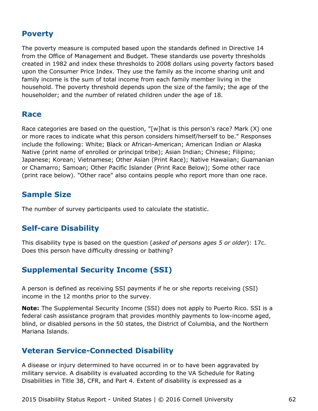#### **Poverty**

The poverty measure is computed based upon the standards defined in Directive 14 from the Office of Management and Budget. These standards use poverty thresholds created in 1982 and index these thresholds to 2008 dollars using poverty factors based upon the Consumer Price Index. They use the family as the income sharing unit and family income is the sum of total income from each family member living in the household. The poverty threshold depends upon the size of the family; the age of the householder; and the number of related children under the age of 18.

#### **Race**

Race categories are based on the question, "[w]hat is this person's race? Mark (X) one or more races to indicate what this person considers himself/herself to be." Responses include the following: White; Black or African-American; American Indian or Alaska Native (print name of enrolled or principal tribe); Asian Indian; Chinese; Filipino; Japanese; Korean; Vietnamese; Other Asian (Print Race); Native Hawaiian; Guamanian or Chamarro; Samoan; Other Pacific Islander (Print Race Below); Some other race (print race below). "Other race" also contains people who report more than one race.

#### **Sample Size**

The number of survey participants used to calculate the statistic.

#### **Self-care Disability**

This disability type is based on the question (*asked of persons ages 5 or older*): 17c. Does this person have difficulty dressing or bathing?

#### **Supplemental Security Income (SSI)**

A person is defined as receiving SSI payments if he or she reports receiving (SSI) income in the 12 months prior to the survey.

**Note:** The Supplemental Security Income (SSI) does not apply to Puerto Rico. SSI is a federal cash assistance program that provides monthly payments to low-income aged, blind, or disabled persons in the 50 states, the District of Columbia, and the Northern Mariana Islands.

#### **Veteran Service-Connected Disability**

A disease or injury determined to have occurred in or to have been aggravated by military service. A disability is evaluated according to the VA Schedule for Rating Disabilities in Title 38, CFR, and Part 4. Extent of disability is expressed as a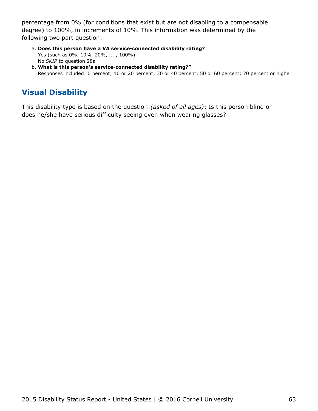percentage from 0% (for conditions that exist but are not disabling to a compensable degree) to 100%, in increments of 10%. This information was determined by the following two part question:

- **Does this person have a VA service-connected disability rating?** a. Yes (such as 0%, 10%, 20%, ... , 100%) No *SKIP* to question 28a
- **What is this person's service-connected disability rating?"** b. Responses included: 0 percent; 10 or 20 percent; 30 or 40 percent; 50 or 60 percent; 70 percent or higher

### **Visual Disability**

This disability type is based on the question:*(asked of all ages)*: Is this person blind or does he/she have serious difficulty seeing even when wearing glasses?